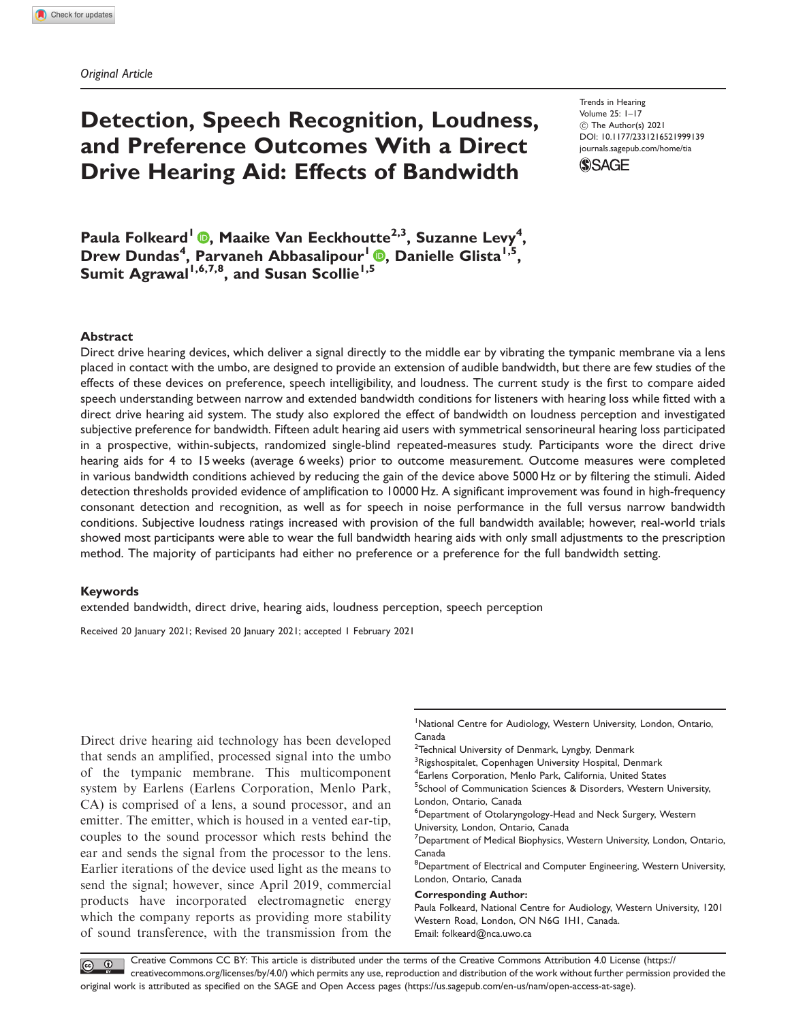Original Article

# Detection, Speech Recognition, Loudness, and Preference Outcomes With a Direct Drive Hearing Aid: Effects of Bandwidth

Trends in Hearing Volume 25: 1–17  $©$  The Author(s) 2021 [DOI: 10.1177/2331216521999139](http://dx.doi.org/10.1177/2331216521999139) <journals.sagepub.com/home/tia>

**SSAGE** 

Paula Folkeard<sup>I</sup> ®, Maaike Van Eeckhoutte<sup>2,3</sup>, Suzanne Levy<sup>4</sup>, Drew Dundas<sup>4</sup>[,](https://orcid.org/0000-0001-8771-7618) Parvaneh Abbasalipour<sup>l</sup> ®, Danielle Glista<sup>1,5</sup>, Sumit Agrawal<sup>1,6,7,8</sup>, and Susan Scollie<sup>1,5</sup>

#### Abstract

Direct drive hearing devices, which deliver a signal directly to the middle ear by vibrating the tympanic membrane via a lens placed in contact with the umbo, are designed to provide an extension of audible bandwidth, but there are few studies of the effects of these devices on preference, speech intelligibility, and loudness. The current study is the first to compare aided speech understanding between narrow and extended bandwidth conditions for listeners with hearing loss while fitted with a direct drive hearing aid system. The study also explored the effect of bandwidth on loudness perception and investigated subjective preference for bandwidth. Fifteen adult hearing aid users with symmetrical sensorineural hearing loss participated in a prospective, within-subjects, randomized single-blind repeated-measures study. Participants wore the direct drive hearing aids for 4 to 15 weeks (average 6 weeks) prior to outcome measurement. Outcome measures were completed in various bandwidth conditions achieved by reducing the gain of the device above 5000 Hz or by filtering the stimuli. Aided detection thresholds provided evidence of amplification to 10000 Hz. A significant improvement was found in high-frequency consonant detection and recognition, as well as for speech in noise performance in the full versus narrow bandwidth conditions. Subjective loudness ratings increased with provision of the full bandwidth available; however, real-world trials showed most participants were able to wear the full bandwidth hearing aids with only small adjustments to the prescription method. The majority of participants had either no preference or a preference for the full bandwidth setting.

#### Keywords

extended bandwidth, direct drive, hearing aids, loudness perception, speech perception

Received 20 January 2021; Revised 20 January 2021; accepted 1 February 2021

Direct drive hearing aid technology has been developed that sends an amplified, processed signal into the umbo of the tympanic membrane. This multicomponent system by Earlens (Earlens Corporation, Menlo Park, CA) is comprised of a lens, a sound processor, and an emitter. The emitter, which is housed in a vented ear-tip, couples to the sound processor which rests behind the ear and sends the signal from the processor to the lens. Earlier iterations of the device used light as the means to send the signal; however, since April 2019, commercial products have incorporated electromagnetic energy which the company reports as providing more stability of sound transference, with the transmission from the

- <sup>2</sup>Technical University of Denmark, Lyngby, Denmark
- <sup>3</sup>Rigshospitalet, Copenhagen University Hospital, Denmark
- 4 Earlens Corporation, Menlo Park, California, United States
- <sup>5</sup>School of Communication Sciences & Disorders, Western University, London, Ontario, Canada
- 6 Department of Otolaryngology-Head and Neck Surgery, Western University, London, Ontario, Canada
- ${\rm ^7}$ Department of Medical Biophysics, Western University, London, Ontario, Canada

Corresponding Author:

Creative Commons CC BY: This article is distributed under the terms of the Creative Commons Attribution 4.0 License (https://  $\circledcirc$ creativecommons.org/licenses/by/4.0/) which permits any use, reproduction and distribution of the work without further permission provided the original work is attributed as specified on the SAGE and Open Access pages (https://us.sagepub.com/en-us/nam/open-access-at-sage).

<sup>&</sup>lt;sup>1</sup>National Centre for Audiology, Western University, London, Ontario, Canada

<sup>&</sup>lt;sup>8</sup>Department of Electrical and Computer Engineering, Western University, London, Ontario, Canada

Paula Folkeard, National Centre for Audiology, Western University, 1201 Western Road, London, ON N6G 1H1, Canada. Email: [folkeard@nca.uwo.ca](mailto:folkeard@nca.uwo.ca)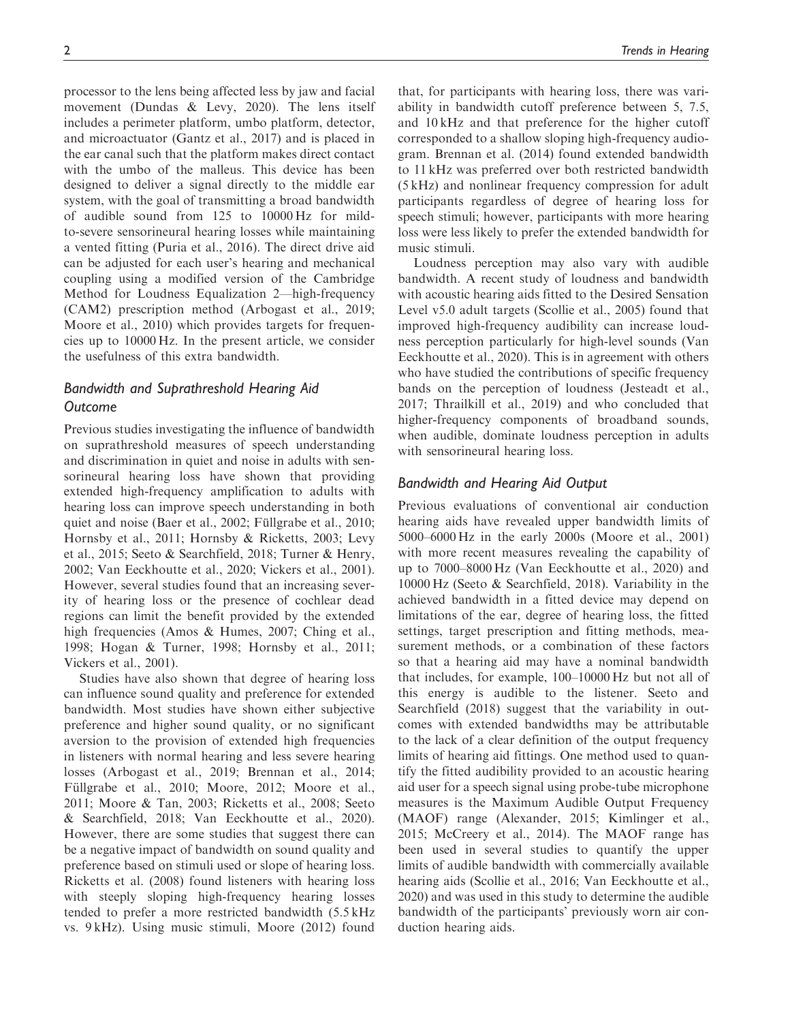processor to the lens being affected less by jaw and facial movement (Dundas & Levy, 2020). The lens itself includes a perimeter platform, umbo platform, detector, and microactuator (Gantz et al., 2017) and is placed in the ear canal such that the platform makes direct contact with the umbo of the malleus. This device has been designed to deliver a signal directly to the middle ear system, with the goal of transmitting a broad bandwidth of audible sound from 125 to 10000 Hz for mildto-severe sensorineural hearing losses while maintaining a vented fitting (Puria et al., 2016). The direct drive aid can be adjusted for each user's hearing and mechanical coupling using a modified version of the Cambridge Method for Loudness Equalization 2—high-frequency (CAM2) prescription method (Arbogast et al., 2019; Moore et al., 2010) which provides targets for frequencies up to 10000 Hz. In the present article, we consider the usefulness of this extra bandwidth.

## Bandwidth and Suprathreshold Hearing Aid Outcome

Previous studies investigating the influence of bandwidth on suprathreshold measures of speech understanding and discrimination in quiet and noise in adults with sensorineural hearing loss have shown that providing extended high-frequency amplification to adults with hearing loss can improve speech understanding in both quiet and noise (Baer et al., 2002; Füllgrabe et al., 2010; Hornsby et al., 2011; Hornsby & Ricketts, 2003; Levy et al., 2015; Seeto & Searchfield, 2018; Turner & Henry, 2002; Van Eeckhoutte et al., 2020; Vickers et al., 2001). However, several studies found that an increasing severity of hearing loss or the presence of cochlear dead regions can limit the benefit provided by the extended high frequencies (Amos & Humes, 2007; Ching et al., 1998; Hogan & Turner, 1998; Hornsby et al., 2011; Vickers et al., 2001).

Studies have also shown that degree of hearing loss can influence sound quality and preference for extended bandwidth. Most studies have shown either subjective preference and higher sound quality, or no significant aversion to the provision of extended high frequencies in listeners with normal hearing and less severe hearing losses (Arbogast et al., 2019; Brennan et al., 2014; Füllgrabe et al., 2010; Moore, 2012; Moore et al., 2011; Moore & Tan, 2003; Ricketts et al., 2008; Seeto & Searchfield, 2018; Van Eeckhoutte et al., 2020). However, there are some studies that suggest there can be a negative impact of bandwidth on sound quality and preference based on stimuli used or slope of hearing loss. Ricketts et al. (2008) found listeners with hearing loss with steeply sloping high-frequency hearing losses tended to prefer a more restricted bandwidth (5.5 kHz vs. 9 kHz). Using music stimuli, Moore (2012) found that, for participants with hearing loss, there was variability in bandwidth cutoff preference between 5, 7.5, and 10 kHz and that preference for the higher cutoff corresponded to a shallow sloping high-frequency audiogram. Brennan et al. (2014) found extended bandwidth to 11 kHz was preferred over both restricted bandwidth (5 kHz) and nonlinear frequency compression for adult participants regardless of degree of hearing loss for speech stimuli; however, participants with more hearing loss were less likely to prefer the extended bandwidth for music stimuli.

Loudness perception may also vary with audible bandwidth. A recent study of loudness and bandwidth with acoustic hearing aids fitted to the Desired Sensation Level v5.0 adult targets (Scollie et al., 2005) found that improved high-frequency audibility can increase loudness perception particularly for high-level sounds (Van Eeckhoutte et al., 2020). This is in agreement with others who have studied the contributions of specific frequency bands on the perception of loudness (Jesteadt et al., 2017; Thrailkill et al., 2019) and who concluded that higher-frequency components of broadband sounds, when audible, dominate loudness perception in adults with sensorineural hearing loss.

#### Bandwidth and Hearing Aid Output

Previous evaluations of conventional air conduction hearing aids have revealed upper bandwidth limits of 5000–6000 Hz in the early 2000s (Moore et al., 2001) with more recent measures revealing the capability of up to 7000–8000 Hz (Van Eeckhoutte et al., 2020) and 10000 Hz (Seeto & Searchfield, 2018). Variability in the achieved bandwidth in a fitted device may depend on limitations of the ear, degree of hearing loss, the fitted settings, target prescription and fitting methods, measurement methods, or a combination of these factors so that a hearing aid may have a nominal bandwidth that includes, for example, 100–10000 Hz but not all of this energy is audible to the listener. Seeto and Searchfield (2018) suggest that the variability in outcomes with extended bandwidths may be attributable to the lack of a clear definition of the output frequency limits of hearing aid fittings. One method used to quantify the fitted audibility provided to an acoustic hearing aid user for a speech signal using probe-tube microphone measures is the Maximum Audible Output Frequency (MAOF) range (Alexander, 2015; Kimlinger et al., 2015; McCreery et al., 2014). The MAOF range has been used in several studies to quantify the upper limits of audible bandwidth with commercially available hearing aids (Scollie et al., 2016; Van Eeckhoutte et al., 2020) and was used in this study to determine the audible bandwidth of the participants' previously worn air conduction hearing aids.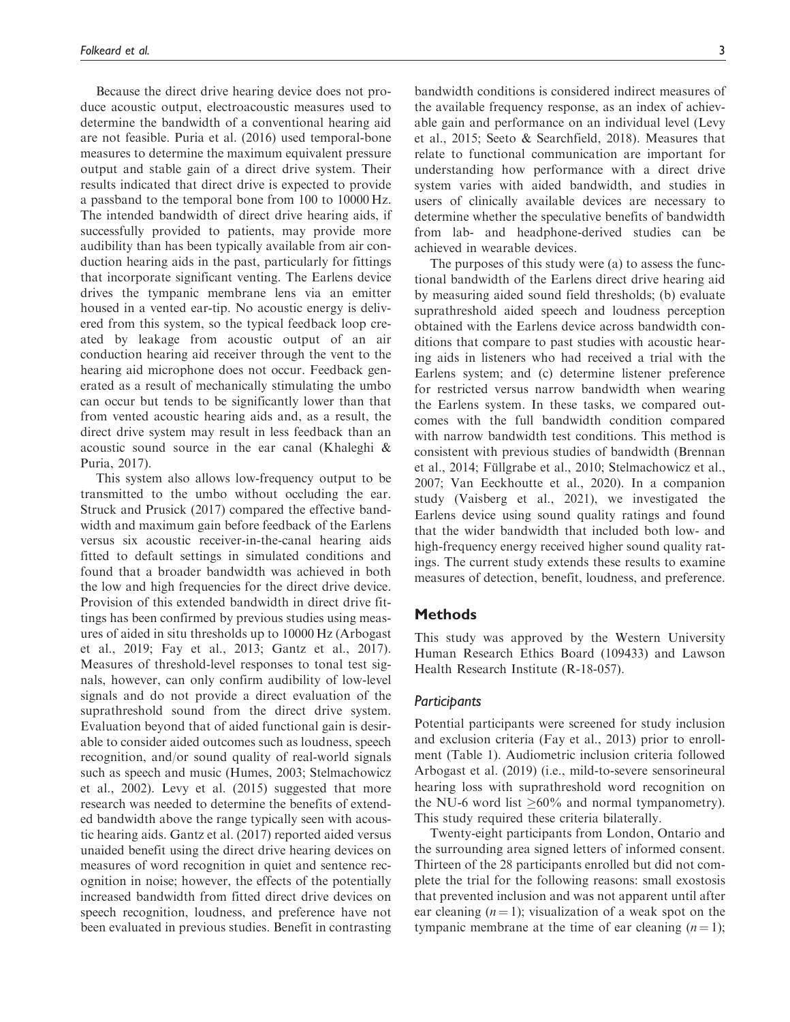Because the direct drive hearing device does not produce acoustic output, electroacoustic measures used to determine the bandwidth of a conventional hearing aid are not feasible. Puria et al. (2016) used temporal-bone measures to determine the maximum equivalent pressure output and stable gain of a direct drive system. Their results indicated that direct drive is expected to provide a passband to the temporal bone from 100 to 10000 Hz. The intended bandwidth of direct drive hearing aids, if successfully provided to patients, may provide more audibility than has been typically available from air conduction hearing aids in the past, particularly for fittings that incorporate significant venting. The Earlens device drives the tympanic membrane lens via an emitter housed in a vented ear-tip. No acoustic energy is delivered from this system, so the typical feedback loop created by leakage from acoustic output of an air conduction hearing aid receiver through the vent to the hearing aid microphone does not occur. Feedback generated as a result of mechanically stimulating the umbo can occur but tends to be significantly lower than that from vented acoustic hearing aids and, as a result, the direct drive system may result in less feedback than an acoustic sound source in the ear canal (Khaleghi & Puria, 2017).

This system also allows low-frequency output to be transmitted to the umbo without occluding the ear. Struck and Prusick (2017) compared the effective bandwidth and maximum gain before feedback of the Earlens versus six acoustic receiver-in-the-canal hearing aids fitted to default settings in simulated conditions and found that a broader bandwidth was achieved in both the low and high frequencies for the direct drive device. Provision of this extended bandwidth in direct drive fittings has been confirmed by previous studies using measures of aided in situ thresholds up to 10000 Hz (Arbogast et al., 2019; Fay et al., 2013; Gantz et al., 2017). Measures of threshold-level responses to tonal test signals, however, can only confirm audibility of low-level signals and do not provide a direct evaluation of the suprathreshold sound from the direct drive system. Evaluation beyond that of aided functional gain is desirable to consider aided outcomes such as loudness, speech recognition, and/or sound quality of real-world signals such as speech and music (Humes, 2003; Stelmachowicz et al., 2002). Levy et al. (2015) suggested that more research was needed to determine the benefits of extended bandwidth above the range typically seen with acoustic hearing aids. Gantz et al. (2017) reported aided versus unaided benefit using the direct drive hearing devices on measures of word recognition in quiet and sentence recognition in noise; however, the effects of the potentially increased bandwidth from fitted direct drive devices on speech recognition, loudness, and preference have not been evaluated in previous studies. Benefit in contrasting

bandwidth conditions is considered indirect measures of the available frequency response, as an index of achievable gain and performance on an individual level (Levy et al., 2015; Seeto & Searchfield, 2018). Measures that relate to functional communication are important for understanding how performance with a direct drive system varies with aided bandwidth, and studies in users of clinically available devices are necessary to determine whether the speculative benefits of bandwidth from lab- and headphone-derived studies can be achieved in wearable devices.

The purposes of this study were (a) to assess the functional bandwidth of the Earlens direct drive hearing aid by measuring aided sound field thresholds; (b) evaluate suprathreshold aided speech and loudness perception obtained with the Earlens device across bandwidth conditions that compare to past studies with acoustic hearing aids in listeners who had received a trial with the Earlens system; and (c) determine listener preference for restricted versus narrow bandwidth when wearing the Earlens system. In these tasks, we compared outcomes with the full bandwidth condition compared with narrow bandwidth test conditions. This method is consistent with previous studies of bandwidth (Brennan et al., 2014; Füllgrabe et al., 2010; Stelmachowicz et al., 2007; Van Eeckhoutte et al., 2020). In a companion study (Vaisberg et al., 2021), we investigated the Earlens device using sound quality ratings and found that the wider bandwidth that included both low- and high-frequency energy received higher sound quality ratings. The current study extends these results to examine measures of detection, benefit, loudness, and preference.

## Methods

This study was approved by the Western University Human Research Ethics Board (109433) and Lawson Health Research Institute (R-18-057).

#### **Participants**

Potential participants were screened for study inclusion and exclusion criteria (Fay et al., 2013) prior to enrollment (Table 1). Audiometric inclusion criteria followed Arbogast et al. (2019) (i.e., mild-to-severe sensorineural hearing loss with suprathreshold word recognition on the NU-6 word list  $\geq 60\%$  and normal tympanometry). This study required these criteria bilaterally.

Twenty-eight participants from London, Ontario and the surrounding area signed letters of informed consent. Thirteen of the 28 participants enrolled but did not complete the trial for the following reasons: small exostosis that prevented inclusion and was not apparent until after ear cleaning  $(n = 1)$ ; visualization of a weak spot on the tympanic membrane at the time of ear cleaning  $(n = 1)$ ;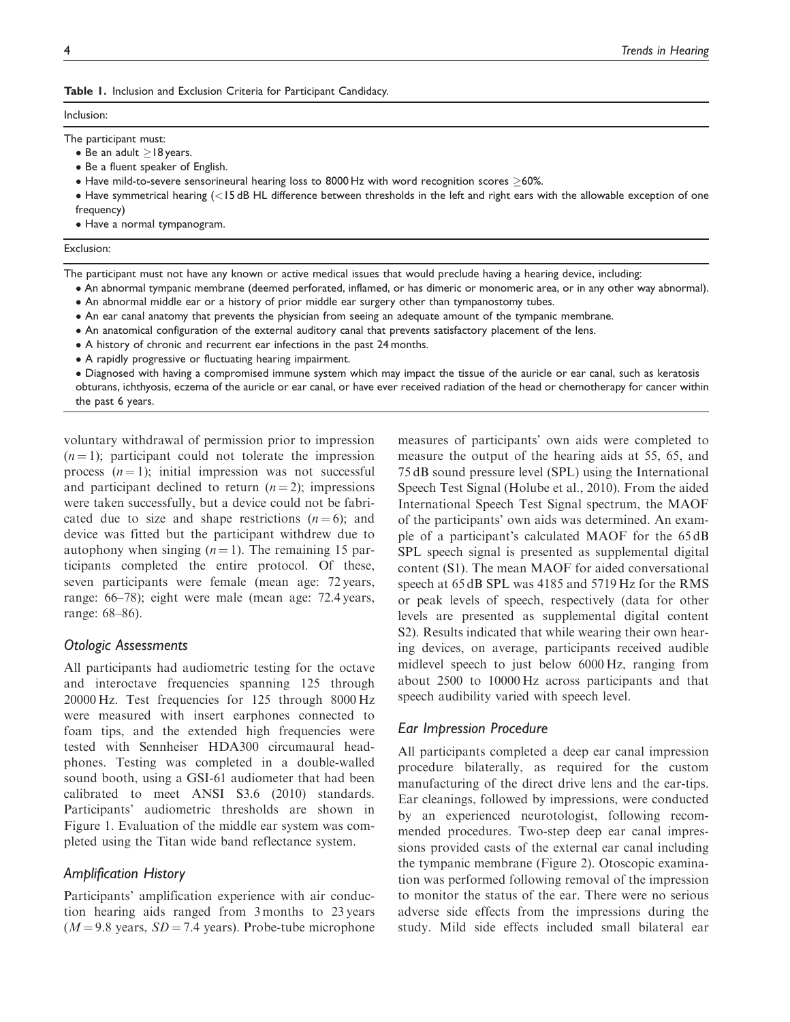#### Table 1. Inclusion and Exclusion Criteria for Participant Candidacy.

#### Inclusion:

The participant must:

- $\bullet$  Be an adult  $>$  18 years.
- Be a fluent speaker of English.
- $\bullet$  Have mild-to-severe sensorineural hearing loss to 8000 Hz with word recognition scores  $\geq$  60%.
- Have symmetrical hearing (<15 dB HL difference between thresholds in the left and right ears with the allowable exception of one frequency)
- Have a normal tympanogram.

#### Exclusion:

The participant must not have any known or active medical issues that would preclude having a hearing device, including:

- An abnormal tympanic membrane (deemed perforated, inflamed, or has dimeric or monomeric area, or in any other way abnormal). An abnormal middle ear or a history of prior middle ear surgery other than tympanostomy tubes.
- An ear canal anatomy that prevents the physician from seeing an adequate amount of the tympanic membrane.
- An anatomical configuration of the external auditory canal that prevents satisfactory placement of the lens.
- A history of chronic and recurrent ear infections in the past 24 months.
- A rapidly progressive or fluctuating hearing impairment.

 Diagnosed with having a compromised immune system which may impact the tissue of the auricle or ear canal, such as keratosis obturans, ichthyosis, eczema of the auricle or ear canal, or have ever received radiation of the head or chemotherapy for cancer within the past 6 years.

voluntary withdrawal of permission prior to impression  $(n = 1)$ ; participant could not tolerate the impression process  $(n = 1)$ ; initial impression was not successful and participant declined to return  $(n = 2)$ ; impressions were taken successfully, but a device could not be fabricated due to size and shape restrictions  $(n = 6)$ ; and device was fitted but the participant withdrew due to autophony when singing  $(n = 1)$ . The remaining 15 participants completed the entire protocol. Of these, seven participants were female (mean age: 72 years, range: 66–78); eight were male (mean age: 72.4 years, range: 68–86).

#### Otologic Assessments

All participants had audiometric testing for the octave and interoctave frequencies spanning 125 through 20000 Hz. Test frequencies for 125 through 8000 Hz were measured with insert earphones connected to foam tips, and the extended high frequencies were tested with Sennheiser HDA300 circumaural headphones. Testing was completed in a double-walled sound booth, using a GSI-61 audiometer that had been calibrated to meet ANSI S3.6 (2010) standards. Participants' audiometric thresholds are shown in Figure 1. Evaluation of the middle ear system was completed using the Titan wide band reflectance system.

#### Amplification History

Participants' amplification experience with air conduction hearing aids ranged from 3 months to 23 years  $(M = 9.8 \text{ years}, SD = 7.4 \text{ years}).$  Probe-tube microphone measures of participants' own aids were completed to measure the output of the hearing aids at 55, 65, and 75 dB sound pressure level (SPL) using the International Speech Test Signal (Holube et al., 2010). From the aided International Speech Test Signal spectrum, the MAOF of the participants' own aids was determined. An example of a participant's calculated MAOF for the 65 dB SPL speech signal is presented as supplemental digital content (S1). The mean MAOF for aided conversational speech at 65 dB SPL was 4185 and 5719 Hz for the RMS or peak levels of speech, respectively (data for other levels are presented as supplemental digital content S2). Results indicated that while wearing their own hearing devices, on average, participants received audible midlevel speech to just below 6000 Hz, ranging from about 2500 to 10000 Hz across participants and that speech audibility varied with speech level.

#### Ear Impression Procedure

All participants completed a deep ear canal impression procedure bilaterally, as required for the custom manufacturing of the direct drive lens and the ear-tips. Ear cleanings, followed by impressions, were conducted by an experienced neurotologist, following recommended procedures. Two-step deep ear canal impressions provided casts of the external ear canal including the tympanic membrane (Figure 2). Otoscopic examination was performed following removal of the impression to monitor the status of the ear. There were no serious adverse side effects from the impressions during the study. Mild side effects included small bilateral ear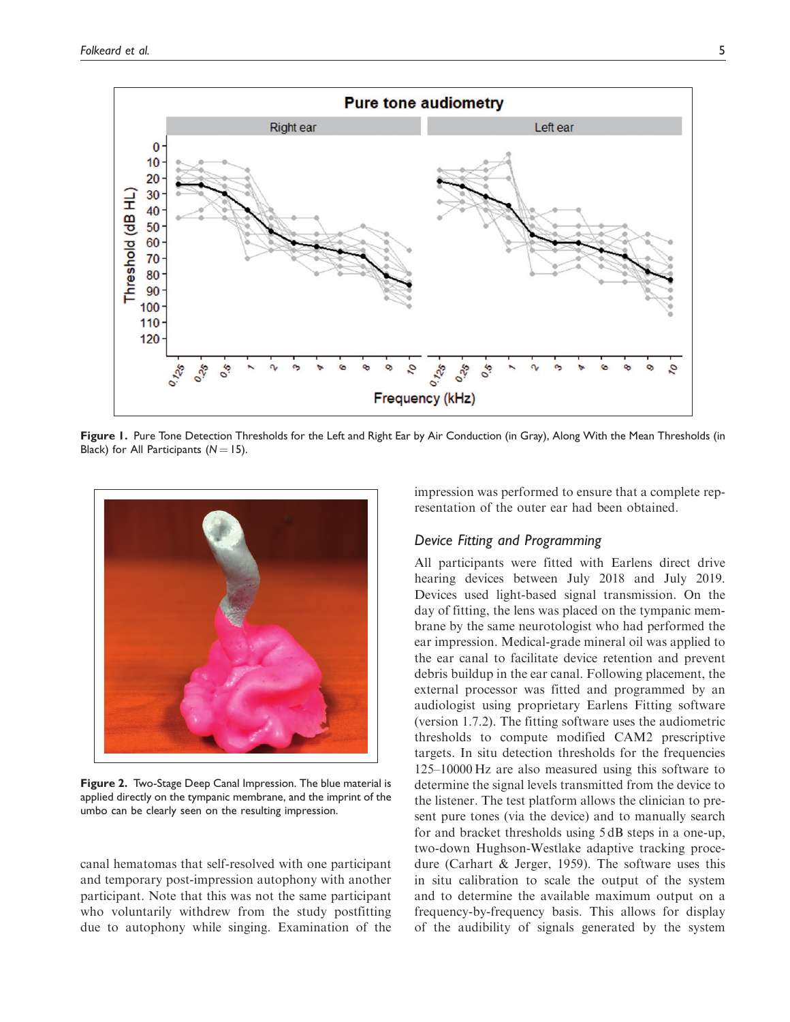

Figure 1. Pure Tone Detection Thresholds for the Left and Right Ear by Air Conduction (in Gray), Along With the Mean Thresholds (in Black) for All Participants ( $N = 15$ ).



Figure 2. Two-Stage Deep Canal Impression. The blue material is applied directly on the tympanic membrane, and the imprint of the umbo can be clearly seen on the resulting impression.

canal hematomas that self-resolved with one participant and temporary post-impression autophony with another participant. Note that this was not the same participant who voluntarily withdrew from the study postfitting due to autophony while singing. Examination of the impression was performed to ensure that a complete representation of the outer ear had been obtained.

#### Device Fitting and Programming

All participants were fitted with Earlens direct drive hearing devices between July 2018 and July 2019. Devices used light-based signal transmission. On the day of fitting, the lens was placed on the tympanic membrane by the same neurotologist who had performed the ear impression. Medical-grade mineral oil was applied to the ear canal to facilitate device retention and prevent debris buildup in the ear canal. Following placement, the external processor was fitted and programmed by an audiologist using proprietary Earlens Fitting software (version 1.7.2). The fitting software uses the audiometric thresholds to compute modified CAM2 prescriptive targets. In situ detection thresholds for the frequencies 125–10000 Hz are also measured using this software to determine the signal levels transmitted from the device to the listener. The test platform allows the clinician to present pure tones (via the device) and to manually search for and bracket thresholds using 5 dB steps in a one-up, two-down Hughson-Westlake adaptive tracking procedure (Carhart & Jerger, 1959). The software uses this in situ calibration to scale the output of the system and to determine the available maximum output on a frequency-by-frequency basis. This allows for display of the audibility of signals generated by the system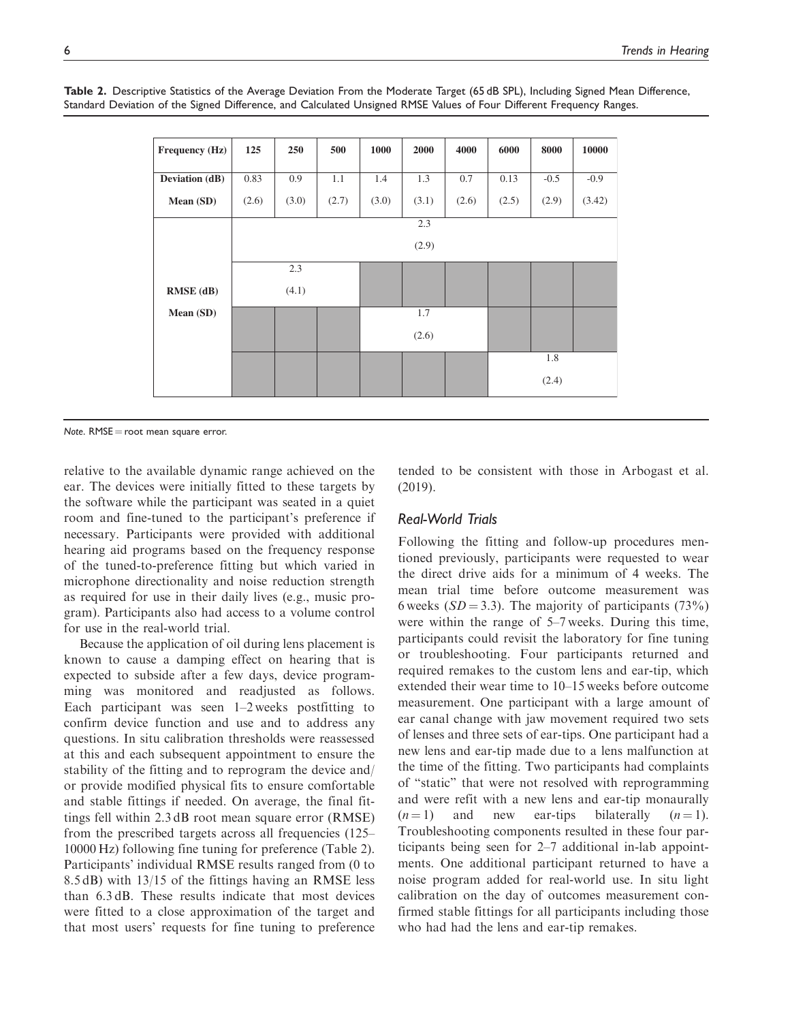| <b>Frequency (Hz)</b> | 125   | 250   | 500   | 1000  | 2000  | 4000  | 6000  | 8000   | 10000  |  |  |  |  |  |
|-----------------------|-------|-------|-------|-------|-------|-------|-------|--------|--------|--|--|--|--|--|
| Deviation (dB)        | 0.83  | 0.9   | 1.1   | 1.4   | 1.3   | 0.7   | 0.13  | $-0.5$ | $-0.9$ |  |  |  |  |  |
| Mean (SD)             | (2.6) | (3.0) | (2.7) | (3.0) | (3.1) | (2.6) | (2.5) | (2.9)  | (3.42) |  |  |  |  |  |
|                       |       |       |       |       | 2.3   |       |       |        |        |  |  |  |  |  |
|                       | (2.9) |       |       |       |       |       |       |        |        |  |  |  |  |  |
|                       |       | 2.3   |       |       |       |       |       |        |        |  |  |  |  |  |
| $RMSE$ (dB)           |       | (4.1) |       |       |       |       |       |        |        |  |  |  |  |  |
| Mean (SD)             |       |       |       |       | 1.7   |       |       |        |        |  |  |  |  |  |
|                       |       |       |       |       | (2.6) |       |       |        |        |  |  |  |  |  |
|                       |       |       |       |       |       |       | 1.8   |        |        |  |  |  |  |  |
|                       |       |       |       |       |       |       |       | (2.4)  |        |  |  |  |  |  |

Table 2. Descriptive Statistics of the Average Deviation From the Moderate Target (65 dB SPL), Including Signed Mean Difference, Standard Deviation of the Signed Difference, and Calculated Unsigned RMSE Values of Four Different Frequency Ranges.

 $Note. RMSE = root mean square error.$ 

relative to the available dynamic range achieved on the ear. The devices were initially fitted to these targets by the software while the participant was seated in a quiet room and fine-tuned to the participant's preference if necessary. Participants were provided with additional hearing aid programs based on the frequency response of the tuned-to-preference fitting but which varied in microphone directionality and noise reduction strength as required for use in their daily lives (e.g., music program). Participants also had access to a volume control for use in the real-world trial.

Because the application of oil during lens placement is known to cause a damping effect on hearing that is expected to subside after a few days, device programming was monitored and readjusted as follows. Each participant was seen 1–2 weeks postfitting to confirm device function and use and to address any questions. In situ calibration thresholds were reassessed at this and each subsequent appointment to ensure the stability of the fitting and to reprogram the device and/ or provide modified physical fits to ensure comfortable and stable fittings if needed. On average, the final fittings fell within 2.3 dB root mean square error (RMSE) from the prescribed targets across all frequencies (125– 10000 Hz) following fine tuning for preference (Table 2). Participants' individual RMSE results ranged from (0 to 8.5 dB) with 13/15 of the fittings having an RMSE less than 6.3 dB. These results indicate that most devices were fitted to a close approximation of the target and that most users' requests for fine tuning to preference tended to be consistent with those in Arbogast et al. (2019).

#### Real-World Trials

Following the fitting and follow-up procedures mentioned previously, participants were requested to wear the direct drive aids for a minimum of 4 weeks. The mean trial time before outcome measurement was 6 weeks ( $SD = 3.3$ ). The majority of participants (73%) were within the range of 5–7 weeks. During this time, participants could revisit the laboratory for fine tuning or troubleshooting. Four participants returned and required remakes to the custom lens and ear-tip, which extended their wear time to 10–15 weeks before outcome measurement. One participant with a large amount of ear canal change with jaw movement required two sets of lenses and three sets of ear-tips. One participant had a new lens and ear-tip made due to a lens malfunction at the time of the fitting. Two participants had complaints of "static" that were not resolved with reprogramming and were refit with a new lens and ear-tip monaurally  $(n = 1)$  and new ear-tips bilaterally  $(n = 1)$ . Troubleshooting components resulted in these four participants being seen for 2–7 additional in-lab appointments. One additional participant returned to have a noise program added for real-world use. In situ light calibration on the day of outcomes measurement confirmed stable fittings for all participants including those who had had the lens and ear-tip remakes.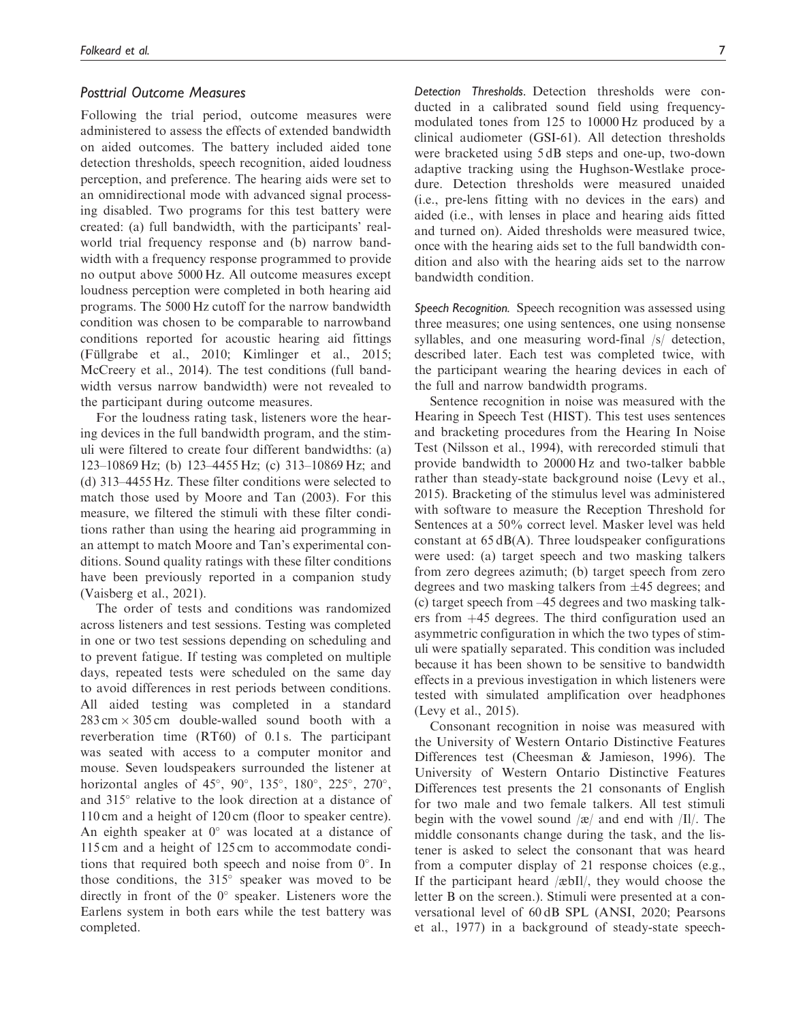#### Posttrial Outcome Measures

Following the trial period, outcome measures were administered to assess the effects of extended bandwidth on aided outcomes. The battery included aided tone detection thresholds, speech recognition, aided loudness perception, and preference. The hearing aids were set to an omnidirectional mode with advanced signal processing disabled. Two programs for this test battery were created: (a) full bandwidth, with the participants' realworld trial frequency response and (b) narrow bandwidth with a frequency response programmed to provide no output above 5000 Hz. All outcome measures except loudness perception were completed in both hearing aid programs. The 5000 Hz cutoff for the narrow bandwidth condition was chosen to be comparable to narrowband conditions reported for acoustic hearing aid fittings (Füllgrabe et al., 2010; Kimlinger et al., 2015; McCreery et al., 2014). The test conditions (full bandwidth versus narrow bandwidth) were not revealed to the participant during outcome measures.

For the loudness rating task, listeners wore the hearing devices in the full bandwidth program, and the stimuli were filtered to create four different bandwidths: (a) 123–10869 Hz; (b) 123–4455 Hz; (c) 313–10869 Hz; and (d) 313–4455 Hz. These filter conditions were selected to match those used by Moore and Tan (2003). For this measure, we filtered the stimuli with these filter conditions rather than using the hearing aid programming in an attempt to match Moore and Tan's experimental conditions. Sound quality ratings with these filter conditions have been previously reported in a companion study (Vaisberg et al., 2021).

The order of tests and conditions was randomized across listeners and test sessions. Testing was completed in one or two test sessions depending on scheduling and to prevent fatigue. If testing was completed on multiple days, repeated tests were scheduled on the same day to avoid differences in rest periods between conditions. All aided testing was completed in a standard  $283 \text{ cm} \times 305 \text{ cm}$  double-walled sound booth with a reverberation time (RT60) of 0.1 s. The participant was seated with access to a computer monitor and mouse. Seven loudspeakers surrounded the listener at horizontal angles of 45°, 90°, 135°, 180°, 225°, 270°, and 315° relative to the look direction at a distance of 110 cm and a height of 120 cm (floor to speaker centre). An eighth speaker at  $0^{\circ}$  was located at a distance of 115 cm and a height of 125 cm to accommodate conditions that required both speech and noise from  $0^\circ$ . In those conditions, the  $315^\circ$  speaker was moved to be directly in front of the  $0^{\circ}$  speaker. Listeners wore the Earlens system in both ears while the test battery was completed.

Detection Thresholds. Detection thresholds were conducted in a calibrated sound field using frequencymodulated tones from 125 to 10000 Hz produced by a clinical audiometer (GSI-61). All detection thresholds were bracketed using 5 dB steps and one-up, two-down adaptive tracking using the Hughson-Westlake procedure. Detection thresholds were measured unaided (i.e., pre-lens fitting with no devices in the ears) and aided (i.e., with lenses in place and hearing aids fitted and turned on). Aided thresholds were measured twice, once with the hearing aids set to the full bandwidth con-

Speech Recognition. Speech recognition was assessed using three measures; one using sentences, one using nonsense syllables, and one measuring word-final /s/ detection, described later. Each test was completed twice, with the participant wearing the hearing devices in each of the full and narrow bandwidth programs.

dition and also with the hearing aids set to the narrow

bandwidth condition.

Sentence recognition in noise was measured with the Hearing in Speech Test (HIST). This test uses sentences and bracketing procedures from the Hearing In Noise Test (Nilsson et al., 1994), with rerecorded stimuli that provide bandwidth to 20000 Hz and two-talker babble rather than steady-state background noise (Levy et al., 2015). Bracketing of the stimulus level was administered with software to measure the Reception Threshold for Sentences at a 50% correct level. Masker level was held constant at 65 dB(A). Three loudspeaker configurations were used: (a) target speech and two masking talkers from zero degrees azimuth; (b) target speech from zero degrees and two masking talkers from  $\pm 45$  degrees; and (c) target speech from –45 degrees and two masking talkers from  $+45$  degrees. The third configuration used an asymmetric configuration in which the two types of stimuli were spatially separated. This condition was included because it has been shown to be sensitive to bandwidth effects in a previous investigation in which listeners were tested with simulated amplification over headphones (Levy et al., 2015).

Consonant recognition in noise was measured with the University of Western Ontario Distinctive Features Differences test (Cheesman & Jamieson, 1996). The University of Western Ontario Distinctive Features Differences test presents the 21 consonants of English for two male and two female talkers. All test stimuli begin with the vowel sound  $\alpha/$  and end with  $\alpha/$ . The middle consonants change during the task, and the listener is asked to select the consonant that was heard from a computer display of 21 response choices (e.g., If the participant heard /æbIl/, they would choose the letter B on the screen.). Stimuli were presented at a conversational level of 60 dB SPL (ANSI, 2020; Pearsons et al., 1977) in a background of steady-state speech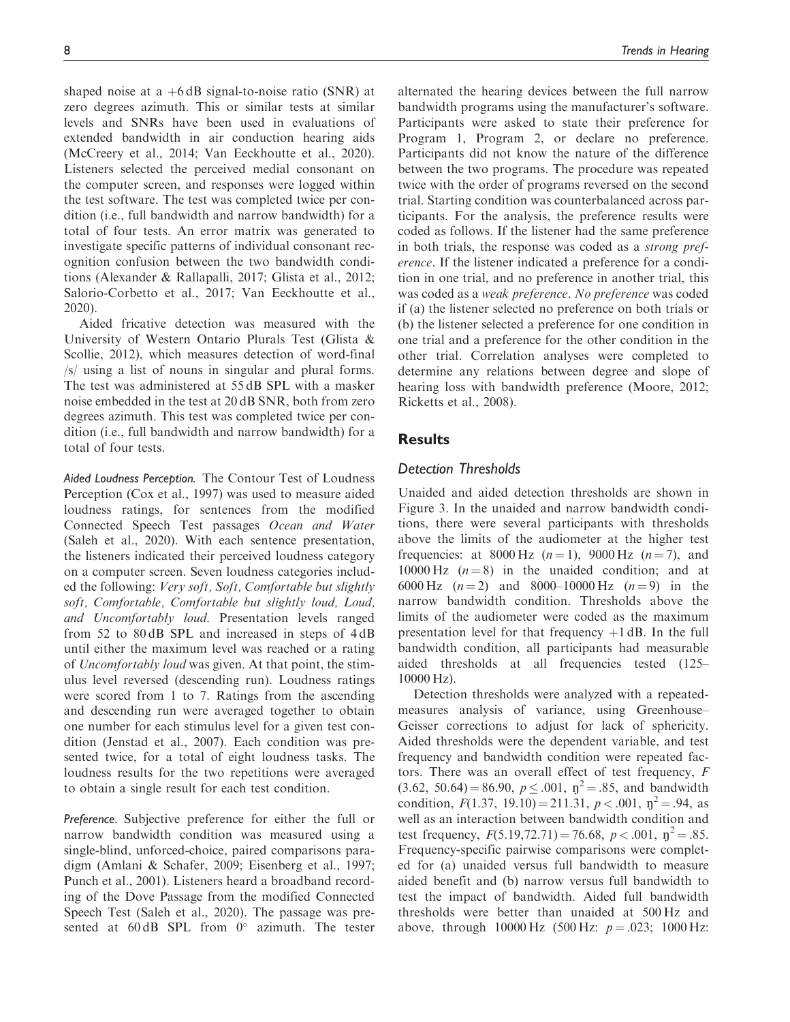shaped noise at a  $+6$  dB signal-to-noise ratio (SNR) at zero degrees azimuth. This or similar tests at similar levels and SNRs have been used in evaluations of extended bandwidth in air conduction hearing aids (McCreery et al., 2014; Van Eeckhoutte et al., 2020). Listeners selected the perceived medial consonant on the computer screen, and responses were logged within the test software. The test was completed twice per condition (i.e., full bandwidth and narrow bandwidth) for a total of four tests. An error matrix was generated to investigate specific patterns of individual consonant recognition confusion between the two bandwidth conditions (Alexander & Rallapalli, 2017; Glista et al., 2012; Salorio-Corbetto et al., 2017; Van Eeckhoutte et al., 2020).

Aided fricative detection was measured with the University of Western Ontario Plurals Test (Glista & Scollie, 2012), which measures detection of word-final /s/ using a list of nouns in singular and plural forms. The test was administered at 55 dB SPL with a masker noise embedded in the test at 20 dB SNR, both from zero degrees azimuth. This test was completed twice per condition (i.e., full bandwidth and narrow bandwidth) for a total of four tests.

Aided Loudness Perception. The Contour Test of Loudness Perception (Cox et al., 1997) was used to measure aided loudness ratings, for sentences from the modified Connected Speech Test passages Ocean and Water (Saleh et al., 2020). With each sentence presentation, the listeners indicated their perceived loudness category on a computer screen. Seven loudness categories included the following: Very soft, Soft, Comfortable but slightly soft, Comfortable, Comfortable but slightly loud, Loud, and Uncomfortably loud. Presentation levels ranged from 52 to 80 dB SPL and increased in steps of 4 dB until either the maximum level was reached or a rating of Uncomfortably loud was given. At that point, the stimulus level reversed (descending run). Loudness ratings were scored from 1 to 7. Ratings from the ascending and descending run were averaged together to obtain one number for each stimulus level for a given test condition (Jenstad et al., 2007). Each condition was presented twice, for a total of eight loudness tasks. The loudness results for the two repetitions were averaged to obtain a single result for each test condition.

Preference. Subjective preference for either the full or narrow bandwidth condition was measured using a single-blind, unforced-choice, paired comparisons paradigm (Amlani & Schafer, 2009; Eisenberg et al., 1997; Punch et al., 2001). Listeners heard a broadband recording of the Dove Passage from the modified Connected Speech Test (Saleh et al., 2020). The passage was presented at  $60$  dB SPL from  $0^{\circ}$  azimuth. The tester alternated the hearing devices between the full narrow bandwidth programs using the manufacturer's software. Participants were asked to state their preference for Program 1, Program 2, or declare no preference. Participants did not know the nature of the difference between the two programs. The procedure was repeated twice with the order of programs reversed on the second trial. Starting condition was counterbalanced across participants. For the analysis, the preference results were coded as follows. If the listener had the same preference in both trials, the response was coded as a strong preference. If the listener indicated a preference for a condition in one trial, and no preference in another trial, this was coded as a weak preference. No preference was coded if (a) the listener selected no preference on both trials or (b) the listener selected a preference for one condition in one trial and a preference for the other condition in the other trial. Correlation analyses were completed to determine any relations between degree and slope of hearing loss with bandwidth preference (Moore, 2012; Ricketts et al., 2008).

## **Results**

#### Detection Thresholds

Unaided and aided detection thresholds are shown in Figure 3. In the unaided and narrow bandwidth conditions, there were several participants with thresholds above the limits of the audiometer at the higher test frequencies: at  $8000 \text{ Hz}$   $(n = 1)$ ,  $9000 \text{ Hz}$   $(n = 7)$ , and 10000 Hz  $(n = 8)$  in the unaided condition; and at 6000 Hz  $(n=2)$  and 8000–10000 Hz  $(n=9)$  in the narrow bandwidth condition. Thresholds above the limits of the audiometer were coded as the maximum presentation level for that frequency  $+1$  dB. In the full bandwidth condition, all participants had measurable aided thresholds at all frequencies tested (125– 10000 Hz).

Detection thresholds were analyzed with a repeatedmeasures analysis of variance, using Greenhouse– Geisser corrections to adjust for lack of sphericity. Aided thresholds were the dependent variable, and test frequency and bandwidth condition were repeated factors. There was an overall effect of test frequency, F  $(3.62, 50.64) = 86.90, p \leq .001, \eta^2 = .85, \text{ and bandwidth}$ condition,  $F(1.37, 19.10) = 211.31, p < .001, \eta^2 = .94$ , as well as an interaction between bandwidth condition and test frequency,  $F(5.19, 72.71) = 76.68$ ,  $p < .001$ ,  $p^2 = .85$ . Frequency-specific pairwise comparisons were completed for (a) unaided versus full bandwidth to measure aided benefit and (b) narrow versus full bandwidth to test the impact of bandwidth. Aided full bandwidth thresholds were better than unaided at 500 Hz and above, through  $10000 \text{ Hz}$  (500 Hz:  $p = .023$ ; 1000 Hz: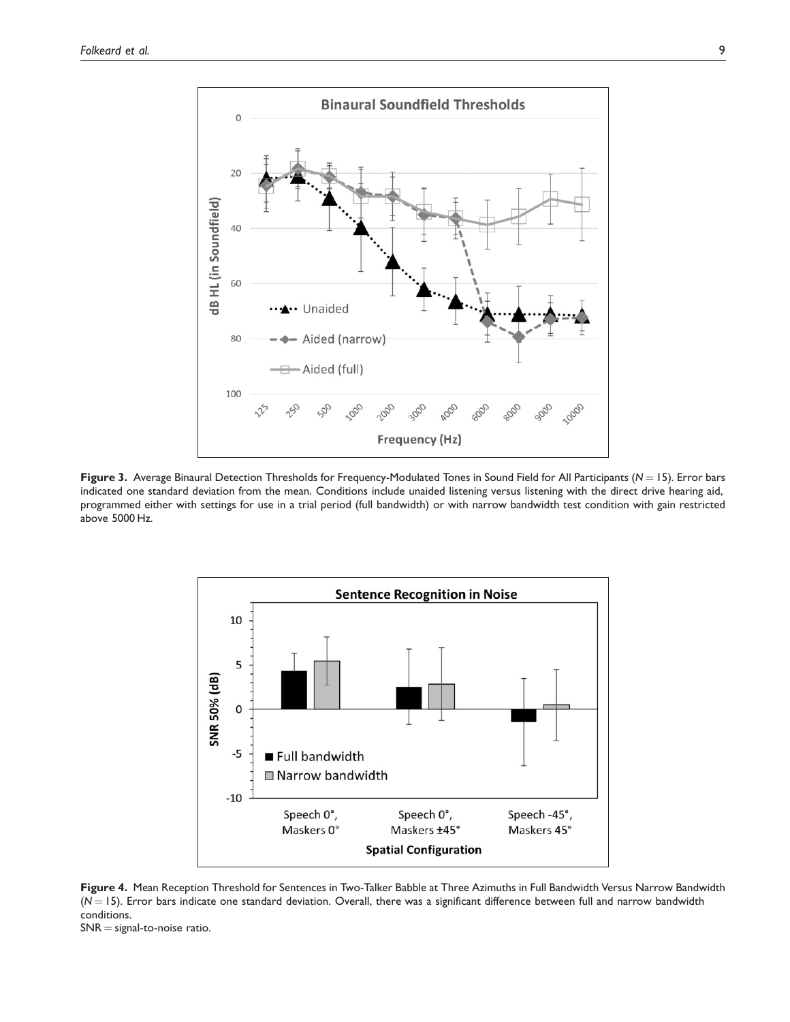

Figure 3. Average Binaural Detection Thresholds for Frequency-Modulated Tones in Sound Field for All Participants ( $N = 15$ ). Error bars indicated one standard deviation from the mean. Conditions include unaided listening versus listening with the direct drive hearing aid, programmed either with settings for use in a trial period (full bandwidth) or with narrow bandwidth test condition with gain restricted above 5000 Hz.



Figure 4. Mean Reception Threshold for Sentences in Two-Talker Babble at Three Azimuths in Full Bandwidth Versus Narrow Bandwidth  $(N = 15)$ . Error bars indicate one standard deviation. Overall, there was a significant difference between full and narrow bandwidth conditions.  $SNR = signal-to-noise ratio.$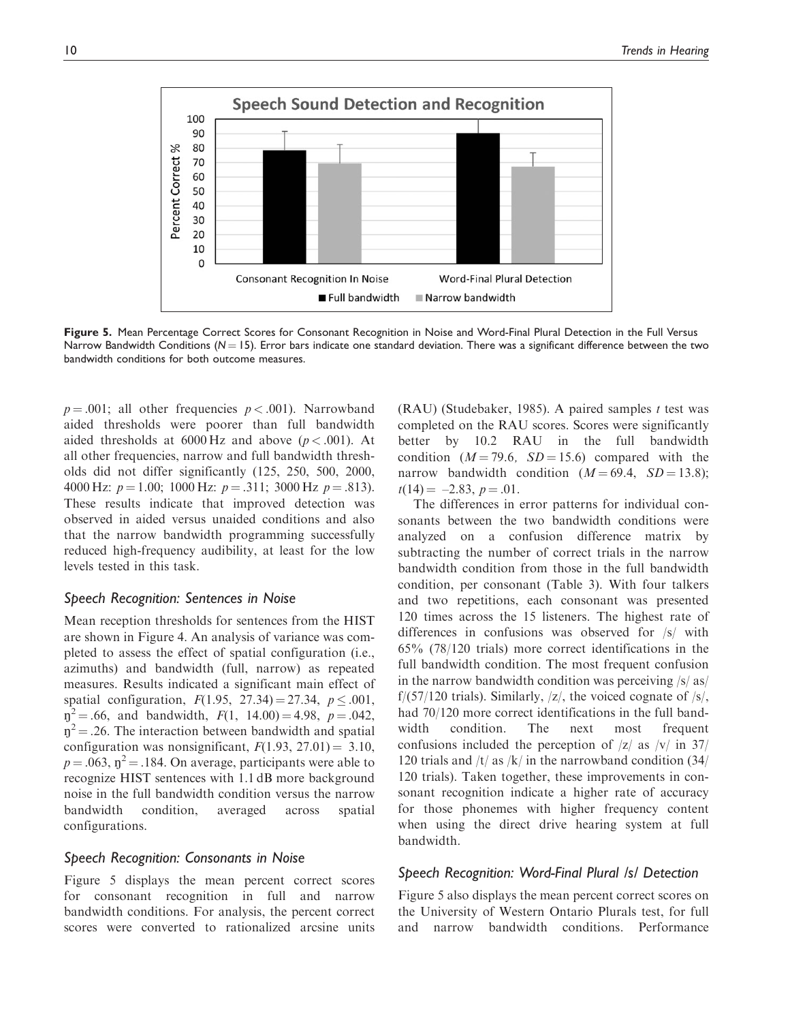

Figure 5. Mean Percentage Correct Scores for Consonant Recognition in Noise and Word-Final Plural Detection in the Full Versus Narrow Bandwidth Conditions ( $N = 15$ ). Error bars indicate one standard deviation. There was a significant difference between the two bandwidth conditions for both outcome measures.

 $p = .001$ ; all other frequencies  $p < .001$ ). Narrowband aided thresholds were poorer than full bandwidth aided thresholds at  $6000 \text{ Hz}$  and above ( $p < .001$ ). At all other frequencies, narrow and full bandwidth thresholds did not differ significantly (125, 250, 500, 2000, 4000 Hz:  $p = 1.00$ ; 1000 Hz:  $p = .311$ ; 3000 Hz  $p = .813$ ). These results indicate that improved detection was observed in aided versus unaided conditions and also that the narrow bandwidth programming successfully reduced high-frequency audibility, at least for the low levels tested in this task.

#### Speech Recognition: Sentences in Noise

Mean reception thresholds for sentences from the HIST are shown in Figure 4. An analysis of variance was completed to assess the effect of spatial configuration (i.e., azimuths) and bandwidth (full, narrow) as repeated measures. Results indicated a significant main effect of spatial configuration,  $F(1.95, 27.34) = 27.34, p \le .001$ ,  $\eta^2$  = .66, and bandwidth,  $F(1, 14.00) = 4.98$ ,  $p = .042$ ,  $\eta^2$  = .26. The interaction between bandwidth and spatial configuration was nonsignificant,  $F(1.93, 27.01) = 3.10$ ,  $p = .063$ ,  $\eta^2 = .184$ . On average, participants were able to recognize HIST sentences with 1.1 dB more background noise in the full bandwidth condition versus the narrow bandwidth condition, averaged across spatial configurations.

#### Speech Recognition: Consonants in Noise

Figure 5 displays the mean percent correct scores for consonant recognition in full and narrow bandwidth conditions. For analysis, the percent correct scores were converted to rationalized arcsine units (RAU) (Studebaker, 1985). A paired samples  $t$  test was completed on the RAU scores. Scores were significantly better by 10.2 RAU in the full bandwidth condition  $(M = 79.6, SD = 15.6)$  compared with the narrow bandwidth condition  $(M = 69.4, SD = 13.8);$  $t(14) = -2.83, p = .01.$ 

The differences in error patterns for individual consonants between the two bandwidth conditions were analyzed on a confusion difference matrix by subtracting the number of correct trials in the narrow bandwidth condition from those in the full bandwidth condition, per consonant (Table 3). With four talkers and two repetitions, each consonant was presented 120 times across the 15 listeners. The highest rate of differences in confusions was observed for /s/ with 65% (78/120 trials) more correct identifications in the full bandwidth condition. The most frequent confusion in the narrow bandwidth condition was perceiving /s/ as/  $f/(57/120 \text{ trials})$ . Similarly,  $|z|$ , the voiced cognate of  $|s|$ , had 70/120 more correct identifications in the full bandwidth condition. The next most frequent confusions included the perception of  $|z|$  as  $|v|$  in 37 120 trials and /t/ as /k/ in the narrowband condition (34/ 120 trials). Taken together, these improvements in consonant recognition indicate a higher rate of accuracy for those phonemes with higher frequency content when using the direct drive hearing system at full bandwidth.

#### Speech Recognition: Word-Final Plural /s/ Detection

Figure 5 also displays the mean percent correct scores on the University of Western Ontario Plurals test, for full and narrow bandwidth conditions. Performance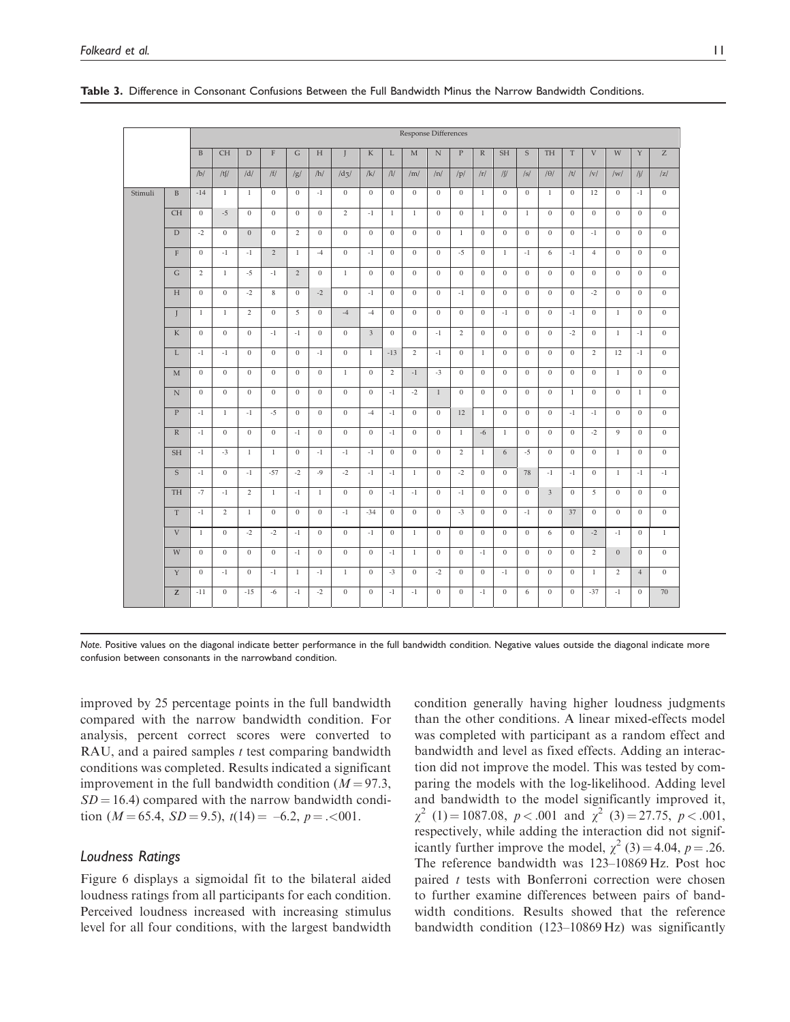|         |                                                       | Response Differences |                |                  |                  |                  |                  |                  |                  |                  |                  |                  |                  |                  |                  |                         |                  |                  |                  |                  |                  |                           |
|---------|-------------------------------------------------------|----------------------|----------------|------------------|------------------|------------------|------------------|------------------|------------------|------------------|------------------|------------------|------------------|------------------|------------------|-------------------------|------------------|------------------|------------------|------------------|------------------|---------------------------|
|         |                                                       | $\overline{B}$       | <b>CH</b>      | $\mathbb D$      | $\rm F$          | ${\rm G}$        | $\rm H$          | J                | $\rm K$          | L                | $\overline{M}$   | $\mathbf N$      | $\rm P$          | $\mathbb R$      | SH               | $\overline{\mathbf{S}}$ | <b>TH</b>        | $\mathbf T$      | $\overline{V}$   | W                | $\rm Y$          | $\ensuremath{\mathbf{Z}}$ |
|         |                                                       | /b/                  | /t             | /d/              | /f/              | /g/              | /h/              | $/d_3/$          | /k/              | /1/              | /m/              | /n/              | /p/              | /r/              | /                | $\sqrt{s}$              | $/\theta/$       | /t/              | v                | /w/              | /j/              | z                         |
| Stimuli | $\mathbf{B}$                                          | $-14$                | $\mathbf{1}$   | $\mathbf{1}$     | $\overline{0}$   | $\boldsymbol{0}$ | $-1$             | $\overline{0}$   | $\overline{0}$   | $\overline{0}$   | $\mathbf{0}$     | $\overline{0}$   | $\overline{0}$   | $\mathbf{1}$     | $\overline{0}$   | $\overline{0}$          | $\mathbf{1}$     | $\mathbf{0}$     | 12               | $\mathbf{0}$     | $-1$             | $\boldsymbol{0}$          |
|         | <b>CH</b>                                             | $\mathbf{0}$         | $-5$           | $\mathbf{0}$     | $\mathbf{0}$     | $\overline{0}$   | $\overline{0}$   | $\overline{2}$   | $-1$             | $\mathbf{1}$     | $\mathbf{1}$     | $\overline{0}$   | $\overline{0}$   | $\mathbf{1}$     | $\mathbf{0}$     | $\mathbf{1}$            | $\overline{0}$   | $\overline{0}$   | $\overline{0}$   | $\mathbf{0}$     | $\mathbf{0}$     | $\mathbf{0}$              |
|         | $\mathbb D$                                           | $-2$                 | $\mathbf{0}$   | $\overline{0}$   | $\boldsymbol{0}$ | $\overline{2}$   | $\overline{0}$   | $\overline{0}$   | $\overline{0}$   | $\mathbf{0}$     | $\overline{0}$   | $\mathbf 0$      | $\mathbf{1}$     | $\overline{0}$   | $\mathbf{0}$     | $\overline{0}$          | $\overline{0}$   | $\overline{0}$   | $-1$             | $\boldsymbol{0}$ | $\mathbf{0}$     | $\mathbf{0}$              |
|         | $\mathbf F$                                           | $\boldsymbol{0}$     | $-1$           | $-1$             | $\overline{c}$   | $1\,$            | $-4$             | $\overline{0}$   | $^{\circ}1$      | $\boldsymbol{0}$ | $\boldsymbol{0}$ | $\boldsymbol{0}$ | $-5$             | $\boldsymbol{0}$ | $1\,$            | $-1$                    | 6                | $-1$             | $\overline{4}$   | $\boldsymbol{0}$ | $\boldsymbol{0}$ | $\mathbf{0}$              |
|         | ${\mathsf G}$                                         | $\overline{c}$       | $\mathbf{1}$   | $-5$             | $-1$             | $\sqrt{2}$       | $\overline{0}$   | $\overline{1}$   | $\mathbf{0}$     | $\overline{0}$   | $\mathbf{0}$     | $\overline{0}$   | $\overline{0}$   | $\overline{0}$   | $\overline{0}$   | $\mathbf{0}$            | $\mathbf{0}$     | $\mathbf{0}$     | $\mathbf{0}$     | $\mathbf{0}$     | $\overline{0}$   | $\mathbf{0}$              |
|         | H                                                     | $\overline{0}$       | $\mathbf{0}$   | $-2$             | $\,$ 8 $\,$      | $\mathbf{0}$     | $-2$             | $\mathbf{0}$     | $-1$             | $\mathbf 0$      | $\boldsymbol{0}$ | $\boldsymbol{0}$ | $-1$             | $\boldsymbol{0}$ | $\overline{0}$   | $\boldsymbol{0}$        | $\mathbf{0}$     | $\boldsymbol{0}$ | $-2$             | $\overline{0}$   | $\mathbf{0}$     | $\mathbf{0}$              |
|         | $\mathbf{I}$                                          | $\mathbf{1}$         | $\mathbf{1}$   | $\overline{2}$   | $\overline{0}$   | 5                | $\overline{0}$   | $-4$             | $-4$             | $\overline{0}$   | $\mathbf{0}$     | $\overline{0}$   | $\overline{0}$   | $\overline{0}$   | $-1$             | $\mathbf{0}$            | $\mathbf{0}$     | $-1$             | $\mathbf{0}$     | $\mathbf{1}$     | $\mathbf{0}$     | $\mathbf{0}$              |
|         | $\mathbbm{K}$                                         | $\overline{0}$       | $\mathbf{0}$   | $\mathbf{0}$     | $-1$             | $-1$             | $\mathbf{0}$     | $\mathbf{0}$     | $\overline{3}$   | $\overline{0}$   | $\boldsymbol{0}$ | $-1$             | $\overline{2}$   | $\overline{0}$   | $\overline{0}$   | $\mathbf{0}$            | $\mathbf{0}$     | $-2$             | $\overline{0}$   | $\mathbf{1}$     | $-1$             | $\mathbf{0}$              |
|         | $\mathbf L$                                           | $^{\circ}1$          | $^{\circ}1$    | $\mathbf{0}$     | $\boldsymbol{0}$ | $\boldsymbol{0}$ | $-1$             | $\overline{0}$   | $\,1\,$          | $-13$            | $\overline{2}$   | $-1$             | $\boldsymbol{0}$ | $\mathbf{1}$     | $\overline{0}$   | $\boldsymbol{0}$        | $\mathbf{0}$     | $\boldsymbol{0}$ | $\overline{2}$   | 12               | $-1$             | $\boldsymbol{0}$          |
|         | M                                                     | $\mathbf{0}$         | $\overline{0}$ | $\mathbf{0}$     | $\mathbf{0}$     | $\overline{0}$   | $\mathbf{0}$     | $\mathbf{1}$     | $\mathbf{0}$     | $\overline{c}$   | $-1$             | $-3$             | $\overline{0}$   | $\overline{0}$   | $\mathbf{0}$     | $\overline{0}$          | $\overline{0}$   | $\overline{0}$   | $\mathbf{0}$     | $\mathbf{1}$     | $\mathbf{0}$     | $\mathbf{0}$              |
|         | $\mathbf N$                                           | $\mathbf{0}$         | $\mathbf{0}$   | $\mathbf{0}$     | $\mathbf{0}$     | $\boldsymbol{0}$ | $\mathbf 0$      | $\overline{0}$   | $\overline{0}$   | $\mathbf{-1}$    | $-2$             | $\mathbf{1}$     | $\overline{0}$   | $\mathbf 0$      | $\overline{0}$   | $\overline{0}$          | $\overline{0}$   | $\mathbf{1}$     | $\mathbf{0}$     | $\overline{0}$   | $\mathbf{1}$     | $\boldsymbol{0}$          |
|         | ${\bf P}$                                             | $\mathbf{-1}$        | $\mathbf{1}$   | $^{\circ}1$      | $-5$             | $\boldsymbol{0}$ | $\boldsymbol{0}$ | $\mathbf{0}$     | $-4$             | $-1$             | $\boldsymbol{0}$ | $\boldsymbol{0}$ | 12               | $\mathbf{1}$     | $\boldsymbol{0}$ | $\mathbf 0$             | $\mathbf 0$      | $^{\circ}1$      | $\mathbf{-1}$    | $\boldsymbol{0}$ | $\boldsymbol{0}$ | $\mathbf{0}$              |
|         | $\mathbb{R}$                                          | $-1$                 | $\mathbf{0}$   | $\overline{0}$   | $\overline{0}$   | $-1$             | $\mathbf{0}$     | $\overline{0}$   | $\mathbf{0}$     | $-1$             | $\mathbf{0}$     | $\overline{0}$   | $\mathbf{1}$     | $-6$             | $\mathbf{1}$     | $\mathbf{0}$            | $\overline{0}$   | $\overline{0}$   | $-2$             | 9                | $\mathbf{0}$     | $\overline{0}$            |
|         | <b>SH</b>                                             | $-1$                 | $-3$           | $1\,$            | $\mathbf{1}$     | $\boldsymbol{0}$ | $-1$             | $-1$             | $-1$             | $\mathbf 0$      | $\boldsymbol{0}$ | $\boldsymbol{0}$ | $\overline{2}$   | $\mathbf{1}$     | 6                | $-5$                    | $\overline{0}$   | $\overline{0}$   | $\overline{0}$   | $\,1\,$          | $\overline{0}$   | $\mathbf{0}$              |
|         | S                                                     | $-1$                 | $\mathbf{0}$   | $-1$             | $-57$            | $-2$             | $-9$             | $-2$             | $-1$             | $-1$             | $\mathbf{1}$     | $\overline{0}$   | $-2$             | $\overline{0}$   | $\mathbf{0}$     | 78                      | $-1$             | $-1$             | $\overline{0}$   | $\mathbf{1}$     | $-1$             | $-1$                      |
|         | TH                                                    | $-7$                 | $-1$           | $\sqrt{2}$       | $\mathbf{1}$     | $\mathbf{-1}$    | $\mathbf{1}$     | $\overline{0}$   | $\mathbf{0}$     | $^{\circ}1$      | $-1$             | $\overline{0}$   | $-1$             | $\boldsymbol{0}$ | $\mathbf{0}$     | $\mathbf{0}$            | $\mathfrak{Z}$   | $\boldsymbol{0}$ | 5                | $\boldsymbol{0}$ | $\mathbf{0}$     | $\mathbf{0}$              |
|         | $\mathbf T$                                           | $-1$                 | $\overline{2}$ | $\overline{1}$   | $\mathbf{0}$     | $\mathbf{0}$     | $\overline{0}$   | $^{\circ}1$      | $-34$            | $\boldsymbol{0}$ | $\overline{0}$   | $\overline{0}$   | $-3$             | $\boldsymbol{0}$ | $\mathbf{0}$     | $^{\circ}1$             | $\overline{0}$   | 37               | $\boldsymbol{0}$ | $\boldsymbol{0}$ | $\overline{0}$   | $\mathbf{0}$              |
|         | $\overline{V}$                                        | $\mathbf{1}$         | $\mathbf{0}$   | $-2$             | $-2$             | $-1$             | $\overline{0}$   | $\mathbf{0}$     | $-1$             | $\mathbf{0}$     | $\mathbf{1}$     | $\overline{0}$   | $\overline{0}$   | $\overline{0}$   | $\mathbf{0}$     | $\mathbf{0}$            | 6                | $\mathbf{0}$     | $-2$             | $-1$             | $\mathbf{0}$     | $\mathbf{1}$              |
|         | W                                                     | $\overline{0}$       | $\mathbf{0}$   | $\boldsymbol{0}$ | $\mathbf{0}$     | $-1$             | $\boldsymbol{0}$ | $\mathbf{0}$     | $\mathbf{0}$     | $-1$             | $\mathbf{1}$     | $\overline{0}$   | $\overline{0}$   | $-1$             | $\mathbf{0}$     | $\overline{0}$          | $\overline{0}$   | $\mathbf 0$      | $\overline{2}$   | $\boldsymbol{0}$ | $\overline{0}$   | $\mathbf{0}$              |
|         | $\mathbf{Y}$                                          | $\boldsymbol{0}$     | $-1$           | $\boldsymbol{0}$ | $-1$             | $\mathbf{1}$     | $-1$             | $\mathbf{1}$     | $\boldsymbol{0}$ | $-3$             | $\boldsymbol{0}$ | $-2$             | $\overline{0}$   | $\boldsymbol{0}$ | $-1$             | $\boldsymbol{0}$        | $\boldsymbol{0}$ | $\boldsymbol{0}$ | $\mathbf{1}$     | $\overline{2}$   | $\overline{4}$   | $\mathbf{0}$              |
|         | $\mathbf{Z}% ^{T}=\mathbf{Z}^{T}\times\mathbf{Z}^{T}$ | $-11$                | $\mathbf{0}$   | $-15$            | $-6$             | $-1$             | $-2$             | $\boldsymbol{0}$ | $\boldsymbol{0}$ | $-1$             | $-1$             | $\overline{0}$   | $\boldsymbol{0}$ | $-1$             | $\boldsymbol{0}$ | 6                       | $\boldsymbol{0}$ | $\boldsymbol{0}$ | $-37$            | $-1$             | $\boldsymbol{0}$ | 70                        |

#### Table 3. Difference in Consonant Confusions Between the Full Bandwidth Minus the Narrow Bandwidth Conditions.

Note. Positive values on the diagonal indicate better performance in the full bandwidth condition. Negative values outside the diagonal indicate more confusion between consonants in the narrowband condition.

improved by 25 percentage points in the full bandwidth compared with the narrow bandwidth condition. For analysis, percent correct scores were converted to RAU, and a paired samples  $t$  test comparing bandwidth conditions was completed. Results indicated a significant improvement in the full bandwidth condition ( $M = 97.3$ ,  $SD = 16.4$ ) compared with the narrow bandwidth condition ( $M = 65.4$ ,  $SD = 9.5$ ),  $t(14) = -6.2$ ,  $p = .001$ .

#### Loudness Ratings

Figure 6 displays a sigmoidal fit to the bilateral aided loudness ratings from all participants for each condition. Perceived loudness increased with increasing stimulus level for all four conditions, with the largest bandwidth condition generally having higher loudness judgments than the other conditions. A linear mixed-effects model was completed with participant as a random effect and bandwidth and level as fixed effects. Adding an interaction did not improve the model. This was tested by comparing the models with the log-likelihood. Adding level and bandwidth to the model significantly improved it,  $\chi^2$  (1) = 1087.08, p < .001 and  $\chi^2$  (3) = 27.75, p < .001, respectively, while adding the interaction did not significantly further improve the model,  $\gamma^2$  (3) = 4.04, p = .26. The reference bandwidth was 123–10869 Hz. Post hoc paired  $t$  tests with Bonferroni correction were chosen to further examine differences between pairs of bandwidth conditions. Results showed that the reference bandwidth condition (123–10869 Hz) was significantly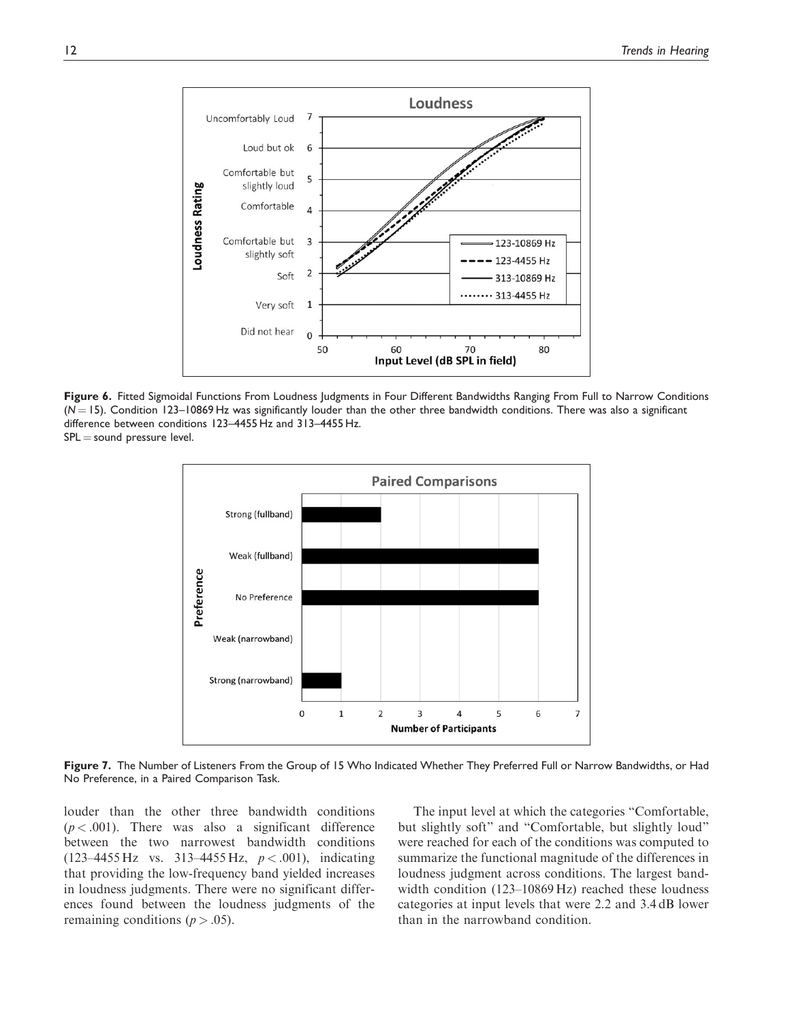

Figure 6. Fitted Sigmoidal Functions From Loudness Judgments in Four Different Bandwidths Ranging From Full to Narrow Conditions  $(N = 15)$ . Condition 123-10869 Hz was significantly louder than the other three bandwidth conditions. There was also a significant difference between conditions 123–4455 Hz and 313–4455 Hz.  $SPL =$  sound pressure level.



Figure 7. The Number of Listeners From the Group of 15 Who Indicated Whether They Preferred Full or Narrow Bandwidths, or Had No Preference, in a Paired Comparison Task.

louder than the other three bandwidth conditions  $(p < .001)$ . There was also a significant difference between the two narrowest bandwidth conditions (123–4455 Hz vs. 313–4455 Hz,  $p < .001$ ), indicating that providing the low-frequency band yielded increases in loudness judgments. There were no significant differences found between the loudness judgments of the remaining conditions ( $p > .05$ ).

The input level at which the categories "Comfortable, but slightly soft" and "Comfortable, but slightly loud" were reached for each of the conditions was computed to summarize the functional magnitude of the differences in loudness judgment across conditions. The largest bandwidth condition (123–10869 Hz) reached these loudness categories at input levels that were 2.2 and 3.4 dB lower than in the narrowband condition.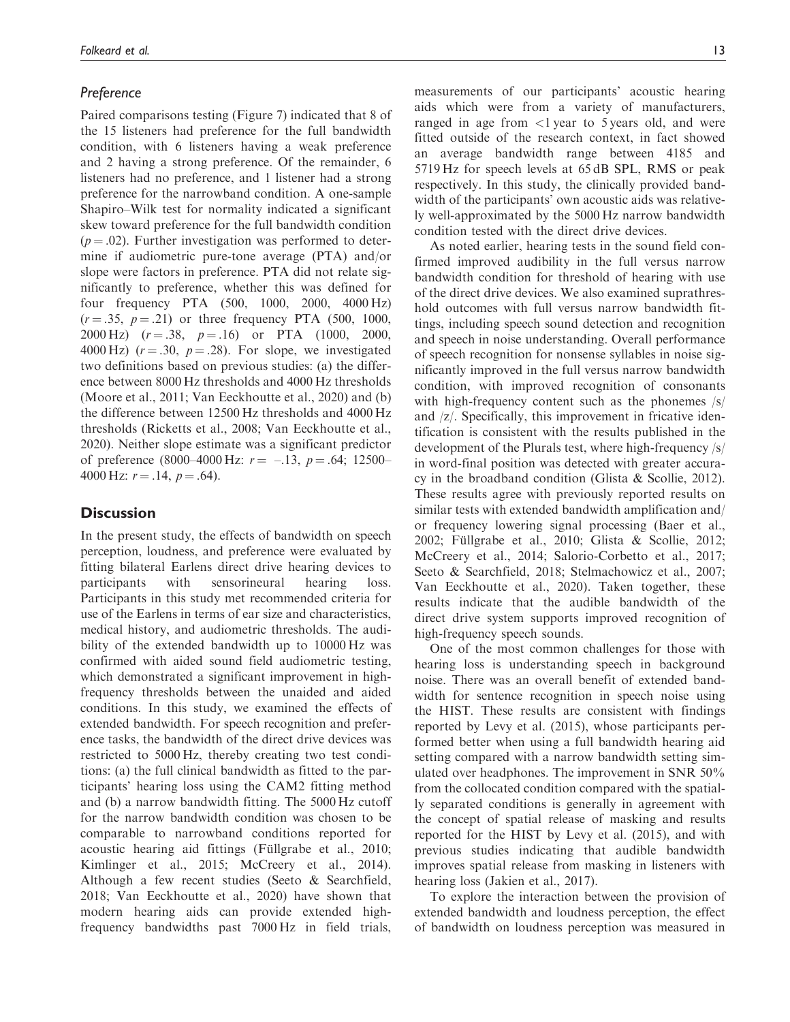#### **Preference**

Paired comparisons testing (Figure 7) indicated that 8 of the 15 listeners had preference for the full bandwidth condition, with 6 listeners having a weak preference and 2 having a strong preference. Of the remainder, 6 listeners had no preference, and 1 listener had a strong preference for the narrowband condition. A one-sample Shapiro–Wilk test for normality indicated a significant skew toward preference for the full bandwidth condition  $(p = .02)$ . Further investigation was performed to determine if audiometric pure-tone average (PTA) and/or slope were factors in preference. PTA did not relate significantly to preference, whether this was defined for four frequency PTA (500, 1000, 2000, 4000 Hz)  $(r = .35, p = .21)$  or three frequency PTA (500, 1000, 2000 Hz)  $(r = .38, p = .16)$  or PTA  $(1000, 2000,$ 4000 Hz)  $(r = .30, p = .28)$ . For slope, we investigated two definitions based on previous studies: (a) the difference between 8000 Hz thresholds and 4000 Hz thresholds (Moore et al., 2011; Van Eeckhoutte et al., 2020) and (b) the difference between 12500 Hz thresholds and 4000 Hz thresholds (Ricketts et al., 2008; Van Eeckhoutte et al., 2020). Neither slope estimate was a significant predictor of preference (8000–4000 Hz:  $r = -.13$ ,  $p = .64$ ; 12500– 4000 Hz:  $r = .14$ ,  $p = .64$ ).

#### **Discussion**

In the present study, the effects of bandwidth on speech perception, loudness, and preference were evaluated by fitting bilateral Earlens direct drive hearing devices to participants with sensorineural hearing loss. Participants in this study met recommended criteria for use of the Earlens in terms of ear size and characteristics, medical history, and audiometric thresholds. The audibility of the extended bandwidth up to 10000 Hz was confirmed with aided sound field audiometric testing, which demonstrated a significant improvement in highfrequency thresholds between the unaided and aided conditions. In this study, we examined the effects of extended bandwidth. For speech recognition and preference tasks, the bandwidth of the direct drive devices was restricted to 5000 Hz, thereby creating two test conditions: (a) the full clinical bandwidth as fitted to the participants' hearing loss using the CAM2 fitting method and (b) a narrow bandwidth fitting. The 5000 Hz cutoff for the narrow bandwidth condition was chosen to be comparable to narrowband conditions reported for acoustic hearing aid fittings (Füllgrabe et al., 2010; Kimlinger et al., 2015; McCreery et al., 2014). Although a few recent studies (Seeto & Searchfield, 2018; Van Eeckhoutte et al., 2020) have shown that modern hearing aids can provide extended highfrequency bandwidths past 7000 Hz in field trials,

measurements of our participants' acoustic hearing aids which were from a variety of manufacturers, ranged in age from  $\langle$ 1 year to 5 years old, and were fitted outside of the research context, in fact showed an average bandwidth range between 4185 and 5719 Hz for speech levels at 65 dB SPL, RMS or peak respectively. In this study, the clinically provided bandwidth of the participants' own acoustic aids was relatively well-approximated by the 5000 Hz narrow bandwidth condition tested with the direct drive devices.

As noted earlier, hearing tests in the sound field confirmed improved audibility in the full versus narrow bandwidth condition for threshold of hearing with use of the direct drive devices. We also examined suprathreshold outcomes with full versus narrow bandwidth fittings, including speech sound detection and recognition and speech in noise understanding. Overall performance of speech recognition for nonsense syllables in noise significantly improved in the full versus narrow bandwidth condition, with improved recognition of consonants with high-frequency content such as the phonemes /s/ and /z/. Specifically, this improvement in fricative identification is consistent with the results published in the development of the Plurals test, where high-frequency /s/ in word-final position was detected with greater accuracy in the broadband condition (Glista & Scollie, 2012). These results agree with previously reported results on similar tests with extended bandwidth amplification and/ or frequency lowering signal processing (Baer et al., 2002; Füllgrabe et al., 2010; Glista & Scollie, 2012; McCreery et al., 2014; Salorio-Corbetto et al., 2017; Seeto & Searchfield, 2018; Stelmachowicz et al., 2007; Van Eeckhoutte et al., 2020). Taken together, these results indicate that the audible bandwidth of the direct drive system supports improved recognition of high-frequency speech sounds.

One of the most common challenges for those with hearing loss is understanding speech in background noise. There was an overall benefit of extended bandwidth for sentence recognition in speech noise using the HIST. These results are consistent with findings reported by Levy et al. (2015), whose participants performed better when using a full bandwidth hearing aid setting compared with a narrow bandwidth setting simulated over headphones. The improvement in SNR 50% from the collocated condition compared with the spatially separated conditions is generally in agreement with the concept of spatial release of masking and results reported for the HIST by Levy et al. (2015), and with previous studies indicating that audible bandwidth improves spatial release from masking in listeners with hearing loss (Jakien et al., 2017).

To explore the interaction between the provision of extended bandwidth and loudness perception, the effect of bandwidth on loudness perception was measured in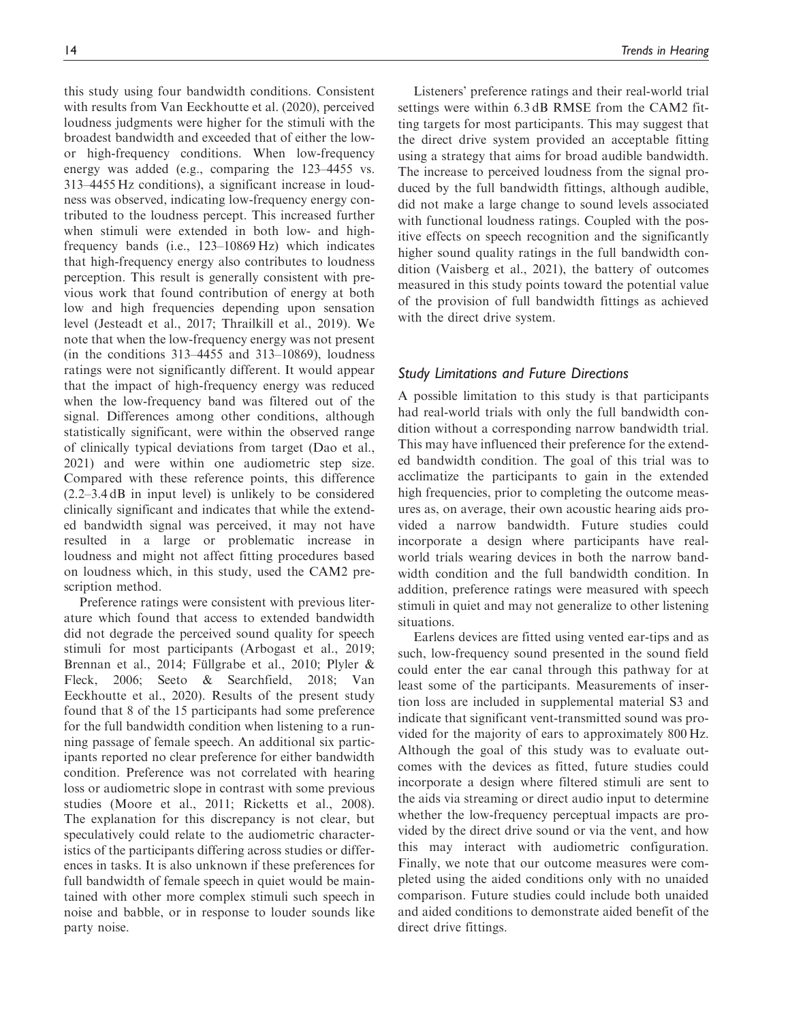this study using four bandwidth conditions. Consistent with results from Van Eeckhoutte et al. (2020), perceived loudness judgments were higher for the stimuli with the broadest bandwidth and exceeded that of either the lowor high-frequency conditions. When low-frequency energy was added (e.g., comparing the 123–4455 vs. 313–4455 Hz conditions), a significant increase in loudness was observed, indicating low-frequency energy contributed to the loudness percept. This increased further when stimuli were extended in both low- and highfrequency bands (i.e., 123–10869 Hz) which indicates that high-frequency energy also contributes to loudness perception. This result is generally consistent with previous work that found contribution of energy at both low and high frequencies depending upon sensation level (Jesteadt et al., 2017; Thrailkill et al., 2019). We note that when the low-frequency energy was not present (in the conditions 313–4455 and 313–10869), loudness ratings were not significantly different. It would appear that the impact of high-frequency energy was reduced when the low-frequency band was filtered out of the signal. Differences among other conditions, although statistically significant, were within the observed range of clinically typical deviations from target (Dao et al., 2021) and were within one audiometric step size. Compared with these reference points, this difference (2.2–3.4 dB in input level) is unlikely to be considered clinically significant and indicates that while the extended bandwidth signal was perceived, it may not have resulted in a large or problematic increase in loudness and might not affect fitting procedures based on loudness which, in this study, used the CAM2 prescription method.

Preference ratings were consistent with previous literature which found that access to extended bandwidth did not degrade the perceived sound quality for speech stimuli for most participants (Arbogast et al., 2019; Brennan et al., 2014; Füllgrabe et al., 2010; Plyler  $\&$ Fleck, 2006; Seeto & Searchfield, 2018; Van Eeckhoutte et al., 2020). Results of the present study found that 8 of the 15 participants had some preference for the full bandwidth condition when listening to a running passage of female speech. An additional six participants reported no clear preference for either bandwidth condition. Preference was not correlated with hearing loss or audiometric slope in contrast with some previous studies (Moore et al., 2011; Ricketts et al., 2008). The explanation for this discrepancy is not clear, but speculatively could relate to the audiometric characteristics of the participants differing across studies or differences in tasks. It is also unknown if these preferences for full bandwidth of female speech in quiet would be maintained with other more complex stimuli such speech in noise and babble, or in response to louder sounds like party noise.

Listeners' preference ratings and their real-world trial settings were within 6.3 dB RMSE from the CAM2 fitting targets for most participants. This may suggest that the direct drive system provided an acceptable fitting using a strategy that aims for broad audible bandwidth. The increase to perceived loudness from the signal produced by the full bandwidth fittings, although audible, did not make a large change to sound levels associated with functional loudness ratings. Coupled with the positive effects on speech recognition and the significantly higher sound quality ratings in the full bandwidth condition (Vaisberg et al., 2021), the battery of outcomes measured in this study points toward the potential value of the provision of full bandwidth fittings as achieved with the direct drive system.

## Study Limitations and Future Directions

A possible limitation to this study is that participants had real-world trials with only the full bandwidth condition without a corresponding narrow bandwidth trial. This may have influenced their preference for the extended bandwidth condition. The goal of this trial was to acclimatize the participants to gain in the extended high frequencies, prior to completing the outcome measures as, on average, their own acoustic hearing aids provided a narrow bandwidth. Future studies could incorporate a design where participants have realworld trials wearing devices in both the narrow bandwidth condition and the full bandwidth condition. In addition, preference ratings were measured with speech stimuli in quiet and may not generalize to other listening situations.

Earlens devices are fitted using vented ear-tips and as such, low-frequency sound presented in the sound field could enter the ear canal through this pathway for at least some of the participants. Measurements of insertion loss are included in supplemental material S3 and indicate that significant vent-transmitted sound was provided for the majority of ears to approximately 800 Hz. Although the goal of this study was to evaluate outcomes with the devices as fitted, future studies could incorporate a design where filtered stimuli are sent to the aids via streaming or direct audio input to determine whether the low-frequency perceptual impacts are provided by the direct drive sound or via the vent, and how this may interact with audiometric configuration. Finally, we note that our outcome measures were completed using the aided conditions only with no unaided comparison. Future studies could include both unaided and aided conditions to demonstrate aided benefit of the direct drive fittings.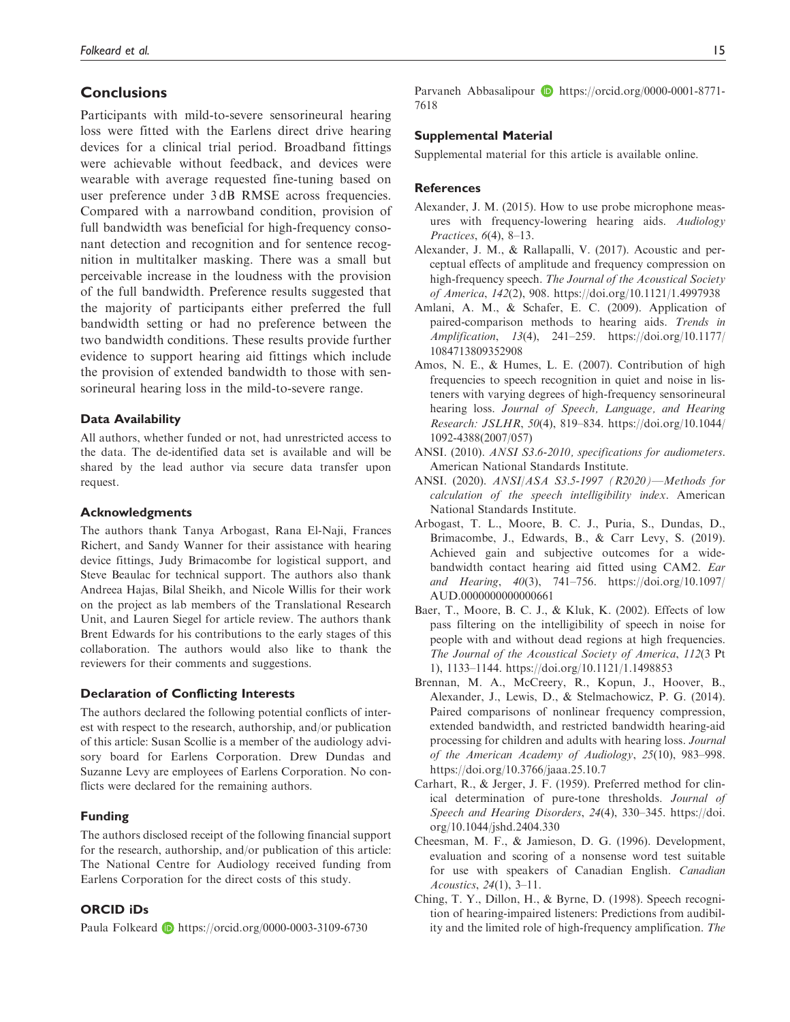# **Conclusions**

Participants with mild-to-severe sensorineural hearing loss were fitted with the Earlens direct drive hearing devices for a clinical trial period. Broadband fittings were achievable without feedback, and devices were wearable with average requested fine-tuning based on user preference under 3 dB RMSE across frequencies. Compared with a narrowband condition, provision of full bandwidth was beneficial for high-frequency consonant detection and recognition and for sentence recognition in multitalker masking. There was a small but perceivable increase in the loudness with the provision of the full bandwidth. Preference results suggested that the majority of participants either preferred the full bandwidth setting or had no preference between the two bandwidth conditions. These results provide further evidence to support hearing aid fittings which include the provision of extended bandwidth to those with sensorineural hearing loss in the mild-to-severe range.

## Data Availability

All authors, whether funded or not, had unrestricted access to the data. The de-identified data set is available and will be shared by the lead author via secure data transfer upon request.

#### Acknowledgments

The authors thank Tanya Arbogast, Rana El-Naji, Frances Richert, and Sandy Wanner for their assistance with hearing device fittings, Judy Brimacombe for logistical support, and Steve Beaulac for technical support. The authors also thank Andreea Hajas, Bilal Sheikh, and Nicole Willis for their work on the project as lab members of the Translational Research Unit, and Lauren Siegel for article review. The authors thank Brent Edwards for his contributions to the early stages of this collaboration. The authors would also like to thank the reviewers for their comments and suggestions.

#### Declaration of Conflicting Interests

The authors declared the following potential conflicts of interest with respect to the research, authorship, and/or publication of this article: Susan Scollie is a member of the audiology advisory board for Earlens Corporation. Drew Dundas and Suzanne Levy are employees of Earlens Corporation. No conflicts were declared for the remaining authors.

## Funding

The authors disclosed receipt of the following financial support for the research, authorship, and/or publication of this article: The National Centre for Audiology received funding from Earlens Corporation for the direct costs of this study.

## ORCID iDs

Paula Folkeard D <https://orcid.org/0000-0003-3109-6730>

Parvaneh Abbasalipour **D** [https://orcid.org/0000-0001-8771-](https://orcid.org/0000-0001-8771-7618) [7618](https://orcid.org/0000-0001-8771-7618)

# Supplemental Material

Supplemental material for this article is available online.

#### References

- Alexander, J. M. (2015). How to use probe microphone measures with frequency-lowering hearing aids. Audiology Practices, 6(4), 8–13.
- Alexander, J. M., & Rallapalli, V. (2017). Acoustic and perceptual effects of amplitude and frequency compression on high-frequency speech. The Journal of the Acoustical Society of America, 142(2), 908.<https://doi.org/10.1121/1.4997938>
- Amlani, A. M., & Schafer, E. C. (2009). Application of paired-comparison methods to hearing aids. Trends in Amplification, 13(4), 241–259. [https://doi.org/10.1177/](https://doi.org/10.1177/1084713809352908) [1084713809352908](https://doi.org/10.1177/1084713809352908)
- Amos, N. E., & Humes, L. E. (2007). Contribution of high frequencies to speech recognition in quiet and noise in listeners with varying degrees of high-frequency sensorineural hearing loss. Journal of Speech, Language, and Hearing Research: JSLHR, 50(4), 819–834. [https://doi.org/10.1044/](https://doi.org/10.1044/1092-4388(2007/057)) [1092-4388\(2007/057\)](https://doi.org/10.1044/1092-4388(2007/057))
- ANSI. (2010). ANSI S3.6-2010, specifications for audiometers. American National Standards Institute.
- ANSI. (2020). ANSI/ASA S3.5-1997 (R2020)—Methods for calculation of the speech intelligibility index. American National Standards Institute.
- Arbogast, T. L., Moore, B. C. J., Puria, S., Dundas, D., Brimacombe, J., Edwards, B., & Carr Levy, S. (2019). Achieved gain and subjective outcomes for a widebandwidth contact hearing aid fitted using CAM2. Ear and Hearing, 40(3), 741–756. [https://doi.org/10.1097/](https://doi.org/10.1097/AUD.0000000000000661) [AUD.0000000000000661](https://doi.org/10.1097/AUD.0000000000000661)
- Baer, T., Moore, B. C. J., & Kluk, K. (2002). Effects of low pass filtering on the intelligibility of speech in noise for people with and without dead regions at high frequencies. The Journal of the Acoustical Society of America, 112(3 Pt 1), 1133–1144.<https://doi.org/10.1121/1.1498853>
- Brennan, M. A., McCreery, R., Kopun, J., Hoover, B., Alexander, J., Lewis, D., & Stelmachowicz, P. G. (2014). Paired comparisons of nonlinear frequency compression, extended bandwidth, and restricted bandwidth hearing-aid processing for children and adults with hearing loss. Journal of the American Academy of Audiology, 25(10), 983–998. <https://doi.org/10.3766/jaaa.25.10.7>
- Carhart, R., & Jerger, J. F. (1959). Preferred method for clinical determination of pure-tone thresholds. Journal of Speech and Hearing Disorders, 24(4), 330–345. [https://doi.](https://doi.org/10.1044/jshd.2404.330) [org/10.1044/jshd.2404.330](https://doi.org/10.1044/jshd.2404.330)
- Cheesman, M. F., & Jamieson, D. G. (1996). Development, evaluation and scoring of a nonsense word test suitable for use with speakers of Canadian English. Canadian Acoustics, 24(1), 3–11.
- Ching, T. Y., Dillon, H., & Byrne, D. (1998). Speech recognition of hearing-impaired listeners: Predictions from audibility and the limited role of high-frequency amplification. The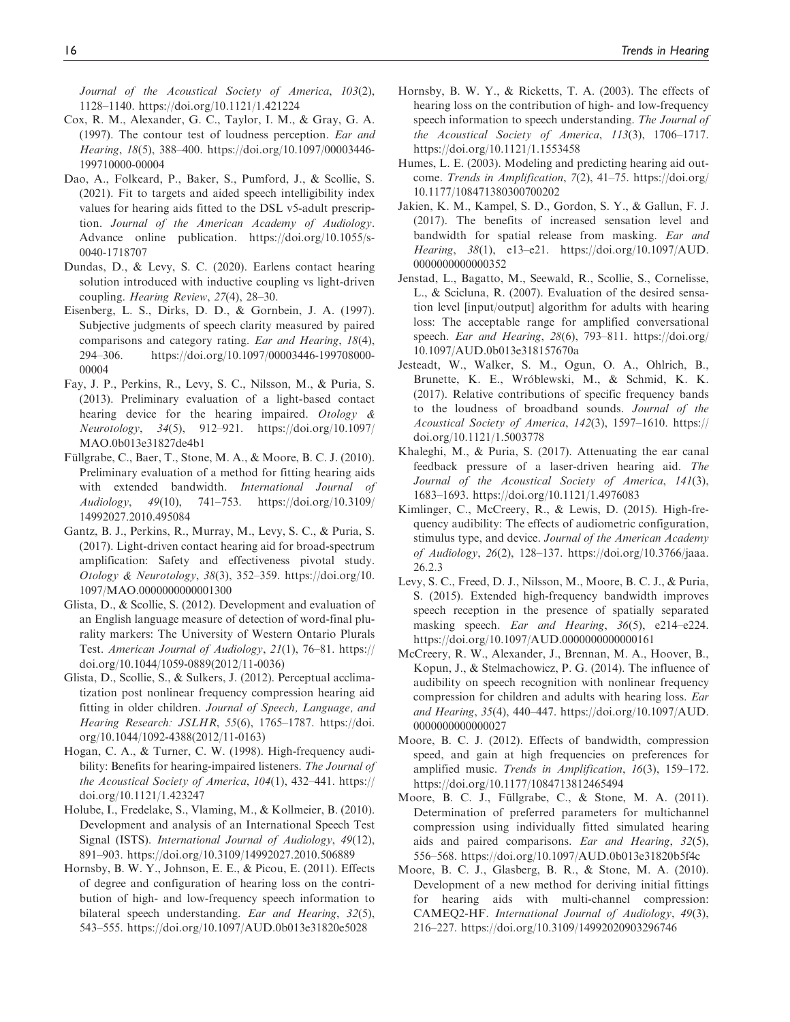Journal of the Acoustical Society of America, 103(2), 1128–1140.<https://doi.org/10.1121/1.421224>

- Cox, R. M., Alexander, G. C., Taylor, I. M., & Gray, G. A. (1997). The contour test of loudness perception. Ear and Hearing, 18(5), 388–400. [https://doi.org/10.1097/00003446-](https://doi.org/10.1097/00003446-199710000-00004) [199710000-00004](https://doi.org/10.1097/00003446-199710000-00004)
- Dao, A., Folkeard, P., Baker, S., Pumford, J., & Scollie, S. (2021). Fit to targets and aided speech intelligibility index values for hearing aids fitted to the DSL v5-adult prescription. Journal of the American Academy of Audiology. Advance online publication. [https://doi.org/10.1055/s-](https://doi.org/10.1055/s-0040-1718707)[0040-1718707](https://doi.org/10.1055/s-0040-1718707)
- Dundas, D., & Levy, S. C. (2020). Earlens contact hearing solution introduced with inductive coupling vs light-driven coupling. Hearing Review, 27(4), 28–30.
- Eisenberg, L. S., Dirks, D. D., & Gornbein, J. A. (1997). Subjective judgments of speech clarity measured by paired comparisons and category rating. Ear and Hearing, 18(4), 294–306. [https://doi.org/10.1097/00003446-199708000-](https://doi.org/10.1097/00003446-199708000-00004) [00004](https://doi.org/10.1097/00003446-199708000-00004)
- Fay, J. P., Perkins, R., Levy, S. C., Nilsson, M., & Puria, S. (2013). Preliminary evaluation of a light-based contact hearing device for the hearing impaired. Otology & Neurotology, 34(5), 912–921. [https://doi.org/10.1097/](https://doi.org/10.1097/MAO.0b013e31827de4b1) [MAO.0b013e31827de4b1](https://doi.org/10.1097/MAO.0b013e31827de4b1)
- Füllgrabe, C., Baer, T., Stone, M. A., & Moore, B. C. J. (2010). Preliminary evaluation of a method for fitting hearing aids with extended bandwidth. International Journal of Audiology, 49(10), 741–753. [https://doi.org/10.3109/](https://doi.org/10.3109/14992027.2010.495084) [14992027.2010.495084](https://doi.org/10.3109/14992027.2010.495084)
- Gantz, B. J., Perkins, R., Murray, M., Levy, S. C., & Puria, S. (2017). Light-driven contact hearing aid for broad-spectrum amplification: Safety and effectiveness pivotal study. Otology & Neurotology, 38(3), 352–359. [https://doi.org/10.](https://doi.org/10.1097/MAO.0000000000001300) [1097/MAO.0000000000001300](https://doi.org/10.1097/MAO.0000000000001300)
- Glista, D., & Scollie, S. (2012). Development and evaluation of an English language measure of detection of word-final plurality markers: The University of Western Ontario Plurals Test. American Journal of Audiology, 21(1), 76–81. [https://](https://doi.org/10.1044/1059-0889(2012/11-0036)) [doi.org/10.1044/1059-0889\(2012/11-0036\)](https://doi.org/10.1044/1059-0889(2012/11-0036))
- Glista, D., Scollie, S., & Sulkers, J. (2012). Perceptual acclimatization post nonlinear frequency compression hearing aid fitting in older children. Journal of Speech, Language, and Hearing Research: JSLHR, 55(6), 1765–1787. [https://doi.](https://doi.org/10.1044/1092-4388(2012/11-0163)) [org/10.1044/1092-4388\(2012/11-0163\)](https://doi.org/10.1044/1092-4388(2012/11-0163))
- Hogan, C. A., & Turner, C. W. (1998). High-frequency audibility: Benefits for hearing-impaired listeners. The Journal of the Acoustical Society of America, 104(1), 432–441. [https://](https://doi.org/10.1121/1.423247) [doi.org/10.1121/1.423247](https://doi.org/10.1121/1.423247)
- Holube, I., Fredelake, S., Vlaming, M., & Kollmeier, B. (2010). Development and analysis of an International Speech Test Signal (ISTS). International Journal of Audiology, 49(12), 891–903.<https://doi.org/10.3109/14992027.2010.506889>
- Hornsby, B. W. Y., Johnson, E. E., & Picou, E. (2011). Effects of degree and configuration of hearing loss on the contribution of high- and low-frequency speech information to bilateral speech understanding. Ear and Hearing, 32(5), 543–555.<https://doi.org/10.1097/AUD.0b013e31820e5028>
- Hornsby, B. W. Y., & Ricketts, T. A. (2003). The effects of hearing loss on the contribution of high- and low-frequency speech information to speech understanding. The Journal of the Acoustical Society of America, 113(3), 1706–1717. <https://doi.org/10.1121/1.1553458>
- Humes, L. E. (2003). Modeling and predicting hearing aid outcome. Trends in Amplification, 7(2), 41–75. [https://doi.org/](https://doi.org/10.1177/108471380300700202) [10.1177/108471380300700202](https://doi.org/10.1177/108471380300700202)
- Jakien, K. M., Kampel, S. D., Gordon, S. Y., & Gallun, F. J. (2017). The benefits of increased sensation level and bandwidth for spatial release from masking. Ear and Hearing, 38(1), e13–e21. [https://doi.org/10.1097/AUD.](https://doi.org/10.1097/AUD.0000000000000352) [0000000000000352](https://doi.org/10.1097/AUD.0000000000000352)
- Jenstad, L., Bagatto, M., Seewald, R., Scollie, S., Cornelisse, L., & Scicluna, R. (2007). Evaluation of the desired sensation level [input/output] algorithm for adults with hearing loss: The acceptable range for amplified conversational speech. Ear and Hearing, 28(6), 793–811. [https://doi.org/](https://doi.org/10.1097/AUD.0b013e318157670a) [10.1097/AUD.0b013e318157670a](https://doi.org/10.1097/AUD.0b013e318157670a)
- Jesteadt, W., Walker, S. M., Ogun, O. A., Ohlrich, B., Brunette, K. E., Wroblewski, M., & Schmid, K. K. (2017). Relative contributions of specific frequency bands to the loudness of broadband sounds. Journal of the Acoustical Society of America, 142(3), 1597–1610. [https://](https://doi.org/10.1121/1.5003778) [doi.org/10.1121/1.5003778](https://doi.org/10.1121/1.5003778)
- Khaleghi, M., & Puria, S. (2017). Attenuating the ear canal feedback pressure of a laser-driven hearing aid. The Journal of the Acoustical Society of America, 141(3), 1683–1693.<https://doi.org/10.1121/1.4976083>
- Kimlinger, C., McCreery, R., & Lewis, D. (2015). High-frequency audibility: The effects of audiometric configuration, stimulus type, and device. Journal of the American Academy of Audiology, 26(2), 128–137. [https://doi.org/10.3766/jaaa.](https://doi.org/10.3766/jaaa.26.2.3) [26.2.3](https://doi.org/10.3766/jaaa.26.2.3)
- Levy, S. C., Freed, D. J., Nilsson, M., Moore, B. C. J., & Puria, S. (2015). Extended high-frequency bandwidth improves speech reception in the presence of spatially separated masking speech. Ear and Hearing, 36(5), e214–e224. <https://doi.org/10.1097/AUD.0000000000000161>
- McCreery, R. W., Alexander, J., Brennan, M. A., Hoover, B., Kopun, J., & Stelmachowicz, P. G. (2014). The influence of audibility on speech recognition with nonlinear frequency compression for children and adults with hearing loss. Ear and Hearing, 35(4), 440–447. [https://doi.org/10.1097/AUD.](https://doi.org/10.1097/AUD.0000000000000027) [0000000000000027](https://doi.org/10.1097/AUD.0000000000000027)
- Moore, B. C. J. (2012). Effects of bandwidth, compression speed, and gain at high frequencies on preferences for amplified music. Trends in Amplification, 16(3), 159–172. <https://doi.org/10.1177/1084713812465494>
- Moore, B. C. J., Füllgrabe, C., & Stone, M. A. (2011). Determination of preferred parameters for multichannel compression using individually fitted simulated hearing aids and paired comparisons. Ear and Hearing, 32(5), 556–568.<https://doi.org/10.1097/AUD.0b013e31820b5f4c>
- Moore, B. C. J., Glasberg, B. R., & Stone, M. A. (2010). Development of a new method for deriving initial fittings for hearing aids with multi-channel compression: CAMEQ2-HF. International Journal of Audiology, 49(3), 216–227.<https://doi.org/10.3109/14992020903296746>